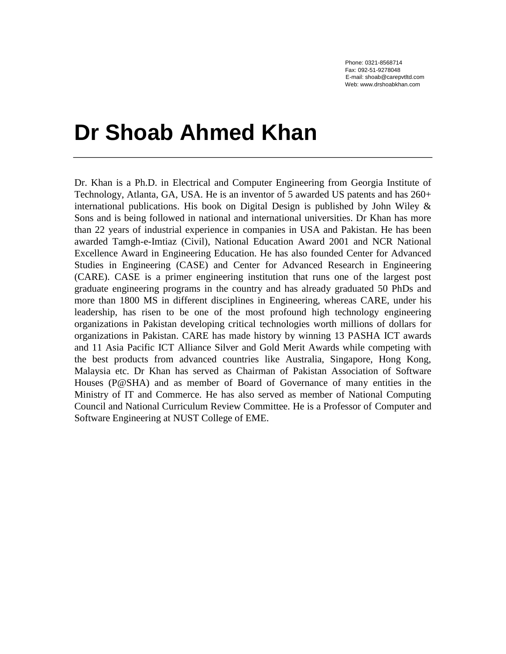Phone: 0321-8568714 Fax: 092-51-9278048 E-mail: shoab@carepvtltd.com Web: www.drshoabkhan.com

# **Dr Shoab Ahmed Khan**

Dr. Khan is a Ph.D. in Electrical and Computer Engineering from Georgia Institute of Technology, Atlanta, GA, USA. He is an inventor of 5 awarded US patents and has 260+ international publications. His book on Digital Design is published by John Wiley & Sons and is being followed in national and international universities. Dr Khan has more than 22 years of industrial experience in companies in USA and Pakistan. He has been awarded Tamgh-e-Imtiaz (Civil), National Education Award 2001 and NCR National Excellence Award in Engineering Education. He has also founded Center for Advanced Studies in Engineering (CASE) and Center for Advanced Research in Engineering (CARE). CASE is a primer engineering institution that runs one of the largest post graduate engineering programs in the country and has already graduated 50 PhDs and more than 1800 MS in different disciplines in Engineering, whereas CARE, under his leadership, has risen to be one of the most profound high technology engineering organizations in Pakistan developing critical technologies worth millions of dollars for organizations in Pakistan. CARE has made history by winning 13 PASHA ICT awards and 11 Asia Pacific ICT Alliance Silver and Gold Merit Awards while competing with the best products from advanced countries like Australia, Singapore, Hong Kong, Malaysia etc. Dr Khan has served as Chairman of Pakistan Association of Software Houses (P@SHA) and as member of Board of Governance of many entities in the Ministry of IT and Commerce. He has also served as member of National Computing Council and National Curriculum Review Committee. He is a Professor of Computer and Software Engineering at NUST College of EME.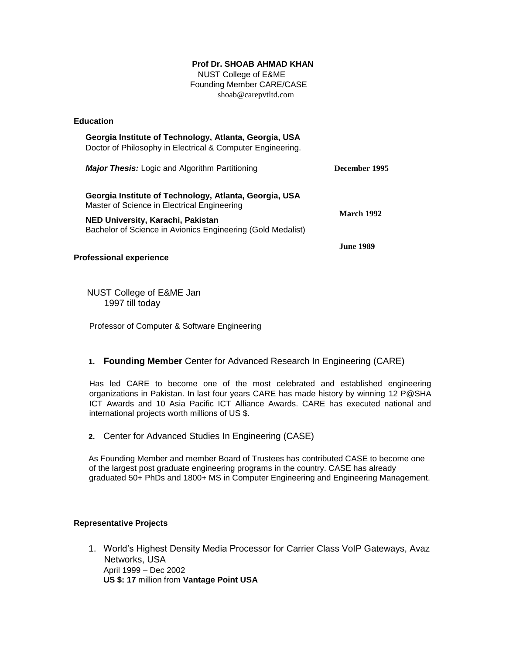# **Prof Dr. SHOAB AHMAD KHAN**

 NUST College of E&ME Founding Member CARE/CASE shoab@carepvtltd.com

#### **Education**

| Georgia Institute of Technology, Atlanta, Georgia, USA<br>Doctor of Philosophy in Electrical & Computer Engineering. |                   |
|----------------------------------------------------------------------------------------------------------------------|-------------------|
| <b>Major Thesis:</b> Logic and Algorithm Partitioning                                                                | December 1995     |
| Georgia Institute of Technology, Atlanta, Georgia, USA<br>Master of Science in Electrical Engineering                | <b>March 1992</b> |
| NED University, Karachi, Pakistan<br>Bachelor of Science in Avionics Engineering (Gold Medalist)                     |                   |
|                                                                                                                      | June 1989.        |

# **Professional experience**

 NUST College of E&ME Jan 1997 till today

Professor of Computer & Software Engineering

# **1. Founding Member** Center for Advanced Research In Engineering (CARE)

Has led CARE to become one of the most celebrated and established engineering organizations in Pakistan. In last four years CARE has made history by winning 12 P@SHA ICT Awards and 10 Asia Pacific ICT Alliance Awards. CARE has executed national and international projects worth millions of US \$.

**2.** Center for Advanced Studies In Engineering (CASE)

As Founding Member and member Board of Trustees has contributed CASE to become one of the largest post graduate engineering programs in the country. CASE has already graduated 50+ PhDs and 1800+ MS in Computer Engineering and Engineering Management.

## **Representative Projects**

1. World's Highest Density Media Processor for Carrier Class VoIP Gateways, Avaz Networks, USA April 1999 – Dec 2002 **US \$: 17** million from **Vantage Point USA**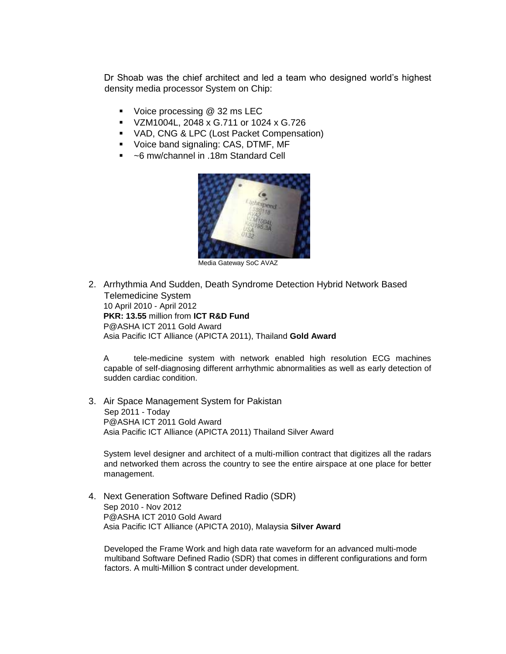Dr Shoab was the chief architect and led a team who designed world's highest density media processor System on Chip:

- Voice processing @ 32 ms LEC
- VZM1004L, 2048 x G.711 or 1024 x G.726
- VAD, CNG & LPC (Lost Packet Compensation)
- **Voice band signaling: CAS, DTMF, MF**
- ~6 mw/channel in .18m Standard Cell



Media Gateway SoC AVAZ

2. Arrhythmia And Sudden, Death Syndrome Detection Hybrid Network Based Telemedicine System 10 April 2010 - April 2012 **PKR: 13.55** million from **ICT R&D Fund**  P@ASHA ICT 2011 Gold Award Asia Pacific ICT Alliance (APICTA 2011), Thailand **Gold Award** 

A tele-medicine system with network enabled high resolution ECG machines capable of self-diagnosing different arrhythmic abnormalities as well as early detection of sudden cardiac condition.

3. Air Space Management System for Pakistan Sep 2011 - Today P@ASHA ICT 2011 Gold Award Asia Pacific ICT Alliance (APICTA 2011) Thailand Silver Award

System level designer and architect of a multi-million contract that digitizes all the radars and networked them across the country to see the entire airspace at one place for better management.

4. Next Generation Software Defined Radio (SDR) Sep 2010 - Nov 2012 P@ASHA ICT 2010 Gold Award Asia Pacific ICT Alliance (APICTA 2010), Malaysia **Silver Award** 

Developed the Frame Work and high data rate waveform for an advanced multi-mode multiband Software Defined Radio (SDR) that comes in different configurations and form factors. A multi-Million \$ contract under development.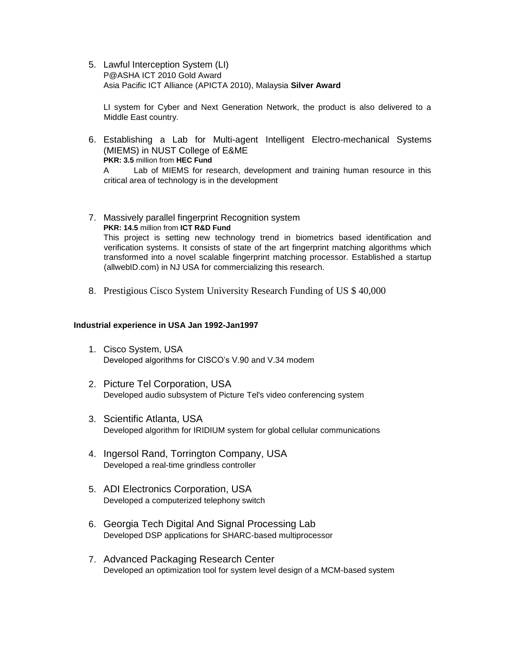5. Lawful Interception System (LI) P@ASHA ICT 2010 Gold Award Asia Pacific ICT Alliance (APICTA 2010), Malaysia **Silver Award** 

LI system for Cyber and Next Generation Network, the product is also delivered to a Middle East country.

6. Establishing a Lab for Multi-agent Intelligent Electro-mechanical Systems (MIEMS) in NUST College of E&ME **PKR: 3.5** million from **HEC Fund** 

A Lab of MIEMS for research, development and training human resource in this critical area of technology is in the development

- 7. Massively parallel fingerprint Recognition system **PKR: 14.5** million from **ICT R&D Fund** This project is setting new technology trend in biometrics based identification and verification systems. It consists of state of the art fingerprint matching algorithms which transformed into a novel scalable fingerprint matching processor. Established a startup (allwebID.com) in NJ USA for commercializing this research.
- 8. Prestigious Cisco System University Research Funding of US \$ 40,000

#### **Industrial experience in USA Jan 1992-Jan1997**

- 1. Cisco System, USA Developed algorithms for CISCO's V.90 and V.34 modem
- 2. Picture Tel Corporation, USA Developed audio subsystem of Picture Tel's video conferencing system
- 3. Scientific Atlanta, USA Developed algorithm for IRIDIUM system for global cellular communications
- 4. Ingersol Rand, Torrington Company, USA Developed a real-time grindless controller
- 5. ADI Electronics Corporation, USA Developed a computerized telephony switch
- 6. Georgia Tech Digital And Signal Processing Lab Developed DSP applications for SHARC-based multiprocessor
- 7. Advanced Packaging Research Center Developed an optimization tool for system level design of a MCM-based system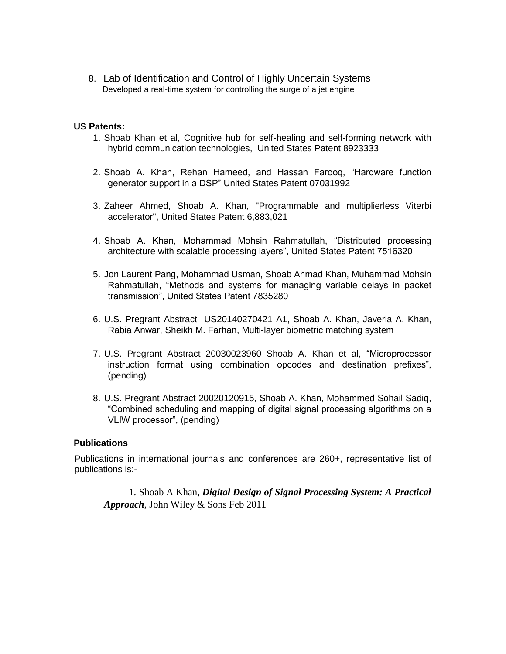8. Lab of Identification and Control of Highly Uncertain Systems Developed a real-time system for controlling the surge of a jet engine

# **US Patents:**

- 1. Shoab Khan et al, Cognitive hub for self-healing and self-forming network with hybrid communication technologies, United States Patent 8923333
- 2. Shoab A. Khan, Rehan Hameed, and Hassan Farooq, "Hardware function generator support in a DSP" United States Patent 07031992
- 3. Zaheer Ahmed, Shoab A. Khan, "Programmable and multiplierless Viterbi accelerator", United States Patent 6,883,021
- 4. Shoab A. Khan, Mohammad Mohsin Rahmatullah, "Distributed processing architecture with scalable processing layers", United States Patent 7516320
- 5. Jon Laurent Pang, Mohammad Usman, Shoab Ahmad Khan, Muhammad Mohsin Rahmatullah, "Methods and systems for managing variable delays in packet transmission", United States Patent 7835280
- 6. U.S. Pregrant Abstract US20140270421 A1, [Shoab A. Khan,](https://www.google.com/search?tbo=p&tbm=pts&hl=en&q=ininventor:%22Shoab+A.+Khan%22) [Javeria A. Khan,](https://www.google.com/search?tbo=p&tbm=pts&hl=en&q=ininventor:%22Javeria+A.+Khan%22) [Rabia Anwar,](https://www.google.com/search?tbo=p&tbm=pts&hl=en&q=ininventor:%22Rabia+Anwar%22) [Sheikh M. Farhan,](https://www.google.com/search?tbo=p&tbm=pts&hl=en&q=ininventor:%22Sheikh+M.+Farhan%22) Multi-layer biometric matching system
- 7. U.S. Pregrant Abstract 20030023960 Shoab A. Khan et al, "Microprocessor instruction format using combination opcodes and destination prefixes", (pending)
- 8. U.S. Pregrant Abstract 20020120915, Shoab A. Khan, Mohammed Sohail Sadiq, "Combined scheduling and mapping of digital signal processing algorithms on a VLIW processor", (pending)

# **Publications**

Publications in international journals and conferences are 260+, representative list of publications is:-

1. Shoab A Khan, *Digital Design of Signal Processing System: A Practical Approach,* John Wiley & Sons Feb 2011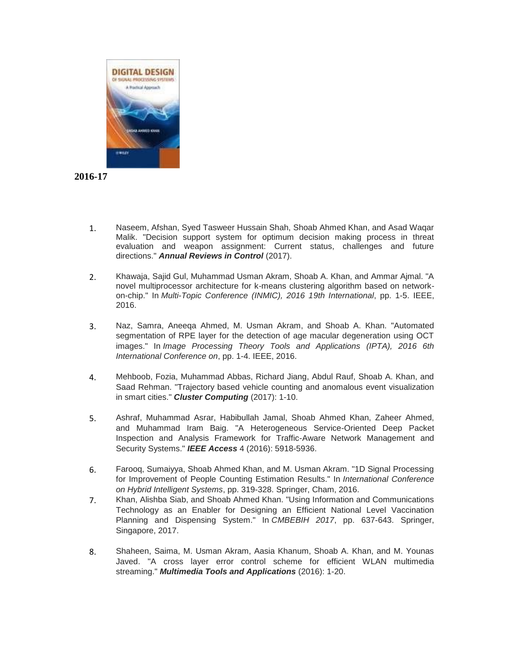



- 1. Naseem, Afshan, Syed Tasweer Hussain Shah, Shoab Ahmed Khan, and Asad Waqar Malik. "Decision support system for optimum decision making process in threat evaluation and weapon assignment: Current status, challenges and future directions." *Annual Reviews in Control* (2017).
- 2. Khawaja, Sajid Gul, Muhammad Usman Akram, Shoab A. Khan, and Ammar Ajmal. "A novel multiprocessor architecture for k-means clustering algorithm based on networkon-chip." In *Multi-Topic Conference (INMIC), 2016 19th International*, pp. 1-5. IEEE, 2016.
- 3. Naz, Samra, Aneeqa Ahmed, M. Usman Akram, and Shoab A. Khan. "Automated segmentation of RPE layer for the detection of age macular degeneration using OCT images." In *Image Processing Theory Tools and Applications (IPTA), 2016 6th International Conference on*, pp. 1-4. IEEE, 2016.
- 4. Mehboob, Fozia, Muhammad Abbas, Richard Jiang, Abdul Rauf, Shoab A. Khan, and Saad Rehman. "Trajectory based vehicle counting and anomalous event visualization in smart cities." *Cluster Computing* (2017): 1-10.
- 5. Ashraf, Muhammad Asrar, Habibullah Jamal, Shoab Ahmed Khan, Zaheer Ahmed, and Muhammad Iram Baig. "A Heterogeneous Service-Oriented Deep Packet Inspection and Analysis Framework for Traffic-Aware Network Management and Security Systems." *IEEE Access* 4 (2016): 5918-5936.
- 6. Farooq, Sumaiyya, Shoab Ahmed Khan, and M. Usman Akram. "1D Signal Processing for Improvement of People Counting Estimation Results." In *International Conference on Hybrid Intelligent Systems*, pp. 319-328. Springer, Cham, 2016.
- 7. Khan, Alishba Siab, and Shoab Ahmed Khan. "Using Information and Communications Technology as an Enabler for Designing an Efficient National Level Vaccination Planning and Dispensing System." In *CMBEBIH 2017*, pp. 637-643. Springer, Singapore, 2017.
- 8. Shaheen, Saima, M. Usman Akram, Aasia Khanum, Shoab A. Khan, and M. Younas Javed. "A cross layer error control scheme for efficient WLAN multimedia streaming." *Multimedia Tools and Applications* (2016): 1-20.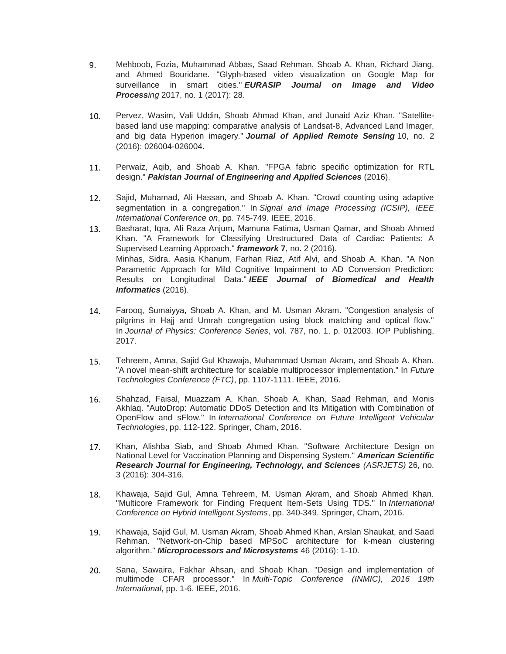- 9. Mehboob, Fozia, Muhammad Abbas, Saad Rehman, Shoab A. Khan, Richard Jiang, and Ahmed Bouridane. "Glyph-based video visualization on Google Map for surveillance in smart cities." *EURASIP Journal on Image and Video Processing* 2017, no. 1 (2017): 28.
- 10. Pervez, Wasim, Vali Uddin, Shoab Ahmad Khan, and Junaid Aziz Khan. "Satellitebased land use mapping: comparative analysis of Landsat-8, Advanced Land Imager, and big data Hyperion imagery." *Journal of Applied Remote Sensing* 10, no. 2 (2016): 026004-026004.
- 11. Perwaiz, Aqib, and Shoab A. Khan. "FPGA fabric specific optimization for RTL design." *Pakistan Journal of Engineering and Applied Sciences* (2016).
- 12. Sajid, Muhamad, Ali Hassan, and Shoab A. Khan. "Crowd counting using adaptive segmentation in a congregation." In *Signal and Image Processing (ICSIP), IEEE International Conference on*, pp. 745-749. IEEE, 2016.
- 13. Basharat, Iqra, Ali Raza Anjum, Mamuna Fatima, Usman Qamar, and Shoab Ahmed Khan. "A Framework for Classifying Unstructured Data of Cardiac Patients: A Supervised Learning Approach." *framework* **7**, no. 2 (2016). Minhas, Sidra, Aasia Khanum, Farhan Riaz, Atif Alvi, and Shoab A. Khan. "A Non Parametric Approach for Mild Cognitive Impairment to AD Conversion Prediction: Results on Longitudinal Data." *IEEE Journal of Biomedical and Health Informatics* (2016).
- 14. Farooq, Sumaiyya, Shoab A. Khan, and M. Usman Akram. "Congestion analysis of pilgrims in Hajj and Umrah congregation using block matching and optical flow." In *Journal of Physics: Conference Series*, vol. 787, no. 1, p. 012003. IOP Publishing, 2017.
- 15. Tehreem, Amna, Sajid Gul Khawaja, Muhammad Usman Akram, and Shoab A. Khan. "A novel mean-shift architecture for scalable multiprocessor implementation." In *Future Technologies Conference (FTC)*, pp. 1107-1111. IEEE, 2016.
- 16. Shahzad, Faisal, Muazzam A. Khan, Shoab A. Khan, Saad Rehman, and Monis Akhlaq. "AutoDrop: Automatic DDoS Detection and Its Mitigation with Combination of OpenFlow and sFlow." In *International Conference on Future Intelligent Vehicular Technologies*, pp. 112-122. Springer, Cham, 2016.
- 17. Khan, Alishba Siab, and Shoab Ahmed Khan. "Software Architecture Design on National Level for Vaccination Planning and Dispensing System." *American Scientific Research Journal for Engineering, Technology, and Sciences (ASRJETS)* 26, no. 3 (2016): 304-316.
- 18. Khawaja, Sajid Gul, Amna Tehreem, M. Usman Akram, and Shoab Ahmed Khan. "Multicore Framework for Finding Frequent Item-Sets Using TDS." In *International Conference on Hybrid Intelligent Systems*, pp. 340-349. Springer, Cham, 2016.
- 19. Khawaja, Sajid Gul, M. Usman Akram, Shoab Ahmed Khan, Arslan Shaukat, and Saad Rehman. "Network-on-Chip based MPSoC architecture for k-mean clustering algorithm." *Microprocessors and Microsystems* 46 (2016): 1-10.
- 20. Sana, Sawaira, Fakhar Ahsan, and Shoab Khan. "Design and implementation of multimode CFAR processor." In *Multi-Topic Conference (INMIC), 2016 19th International*, pp. 1-6. IEEE, 2016.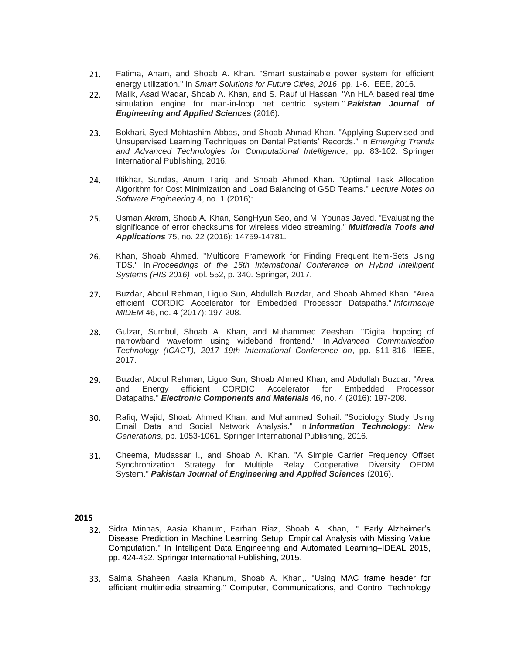- 21. Fatima, Anam, and Shoab A. Khan. "Smart sustainable power system for efficient energy utilization." In *Smart Solutions for Future Cities, 2016*, pp. 1-6. IEEE, 2016.
- 22. Malik, Asad Waqar, Shoab A. Khan, and S. Rauf ul Hassan. "An HLA based real time simulation engine for man-in-loop net centric system." *Pakistan Journal of Engineering and Applied Sciences* (2016).
- 23. Bokhari, Syed Mohtashim Abbas, and Shoab Ahmad Khan. "Applying Supervised and Unsupervised Learning Techniques on Dental Patients' Records." In *Emerging Trends and Advanced Technologies for Computational Intelligence*, pp. 83-102. Springer International Publishing, 2016.
- 24. Iftikhar, Sundas, Anum Tariq, and Shoab Ahmed Khan. "Optimal Task Allocation Algorithm for Cost Minimization and Load Balancing of GSD Teams." *Lecture Notes on Software Engineering* 4, no. 1 (2016):
- 25. Usman Akram, Shoab A. Khan, SangHyun Seo, and M. Younas Javed. "Evaluating the significance of error checksums for wireless video streaming." *Multimedia Tools and Applications* 75, no. 22 (2016): 14759-14781.
- 26. Khan, Shoab Ahmed. "Multicore Framework for Finding Frequent Item-Sets Using TDS." In *Proceedings of the 16th International Conference on Hybrid Intelligent Systems (HIS 2016)*, vol. 552, p. 340. Springer, 2017.
- 27. Buzdar, Abdul Rehman, Liguo Sun, Abdullah Buzdar, and Shoab Ahmed Khan. "Area efficient CORDIC Accelerator for Embedded Processor Datapaths." *Informacije MIDEM* 46, no. 4 (2017): 197-208.
- 28. Gulzar, Sumbul, Shoab A. Khan, and Muhammed Zeeshan. "Digital hopping of narrowband waveform using wideband frontend." In *Advanced Communication Technology (ICACT), 2017 19th International Conference on*, pp. 811-816. IEEE, 2017.
- 29. Buzdar, Abdul Rehman, Liguo Sun, Shoab Ahmed Khan, and Abdullah Buzdar. "Area<br>and Energy efficient CORDIC Accelerator for Embedded Processor Accelerator for Embedded Datapaths." *Electronic Components and Materials* 46, no. 4 (2016): 197-208.
- 30. Rafiq, Wajid, Shoab Ahmed Khan, and Muhammad Sohail. "Sociology Study Using Email Data and Social Network Analysis." In *Information Technology: New Generations*, pp. 1053-1061. Springer International Publishing, 2016.
- 31. Cheema, Mudassar I., and Shoab A. Khan. "A Simple Carrier Frequency Offset Synchronization Strategy for Multiple Relay Cooperative Diversity OFDM System." *Pakistan Journal of Engineering and Applied Sciences* (2016).

- 32. Sidra Minhas, Aasia Khanum, Farhan Riaz, Shoab A. Khan,. " Early Alzheimer's Disease Prediction in Machine Learning Setup: Empirical Analysis with Missing Value Computation." In Intelligent Data Engineering and Automated Learning–IDEAL 2015, pp. 424-432. Springer International Publishing, 2015.
- 33. Saima Shaheen, Aasia Khanum, Shoab A. Khan,. "Using MAC frame header for efficient multimedia streaming." Computer, Communications, and Control Technology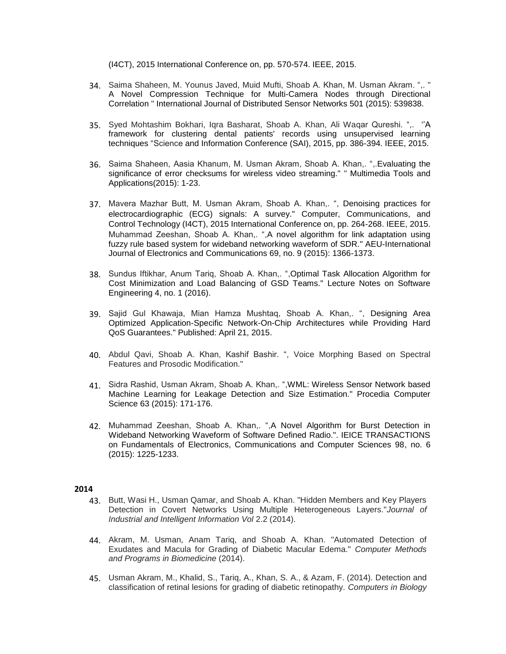(I4CT), 2015 International Conference on, pp. 570-574. IEEE, 2015.

- 34. Saima Shaheen, M. Younus Javed, Muid Mufti, Shoab A. Khan, M. Usman Akram. ",. " A Novel Compression Technique for Multi-Camera Nodes through Directional Correlation " International Journal of Distributed Sensor Networks 501 (2015): 539838.
- 35. Syed Mohtashim Bokhari, Iqra Basharat, Shoab A. Khan, Ali Waqar Qureshi. ",. ''A framework for clustering dental patients' records using unsupervised learning techniques "Science and Information Conference (SAI), 2015, pp. 386-394. IEEE, 2015.
- 36. Saima Shaheen, Aasia Khanum, M. Usman Akram, Shoab A. Khan,. ",.Evaluating the significance of error checksums for wireless video streaming." " Multimedia Tools and Applications(2015): 1-23.
- 37. Mavera Mazhar Butt, M. Usman Akram, Shoab A. Khan,. ", Denoising practices for electrocardiographic (ECG) signals: A survey." Computer, Communications, and Control Technology (I4CT), 2015 International Conference on, pp. 264-268. IEEE, 2015. Muhammad Zeeshan, Shoab A. Khan,. ",A novel algorithm for link adaptation using fuzzy rule based system for wideband networking waveform of SDR." AEU-International Journal of Electronics and Communications 69, no. 9 (2015): 1366-1373.
- 38. Sundus Iftikhar, Anum Tariq, Shoab A. Khan,. ",Optimal Task Allocation Algorithm for Cost Minimization and Load Balancing of GSD Teams." Lecture Notes on Software Engineering 4, no. 1 (2016).
- 39. Sajid Gul Khawaja, Mian Hamza Mushtaq, Shoab A. Khan,. ", Designing Area Optimized Application-Specific Network-On-Chip Architectures while Providing Hard QoS Guarantees." Published: April 21, 2015.
- 40. Abdul Qavi, Shoab A. Khan, Kashif Bashir. ", Voice Morphing Based on Spectral Features and Prosodic Modification."
- 41. Sidra Rashid, Usman Akram, Shoab A. Khan,. ",WML: Wireless Sensor Network based Machine Learning for Leakage Detection and Size Estimation." Procedia Computer Science 63 (2015): 171-176.
- 42. Muhammad Zeeshan, Shoab A. Khan,. ",A Novel Algorithm for Burst Detection in Wideband Networking Waveform of Software Defined Radio.". IEICE TRANSACTIONS on Fundamentals of Electronics, Communications and Computer Sciences 98, no. 6 (2015): 1225-1233.

- 43. Butt, Wasi H., Usman Qamar, and Shoab A. Khan. "Hidden Members and Key Players Detection in Covert Networks Using Multiple Heterogeneous Layers."*Journal of Industrial and Intelligent Information Vol* 2.2 (2014).
- 44. Akram, M. Usman, Anam Tariq, and Shoab A. Khan. "Automated Detection of Exudates and Macula for Grading of Diabetic Macular Edema." *Computer Methods and Programs in Biomedicine* (2014).
- 45. Usman Akram, M., Khalid, S., Tariq, A., Khan, S. A., & Azam, F. (2014). Detection and classification of retinal lesions for grading of diabetic retinopathy. *Computers in Biology*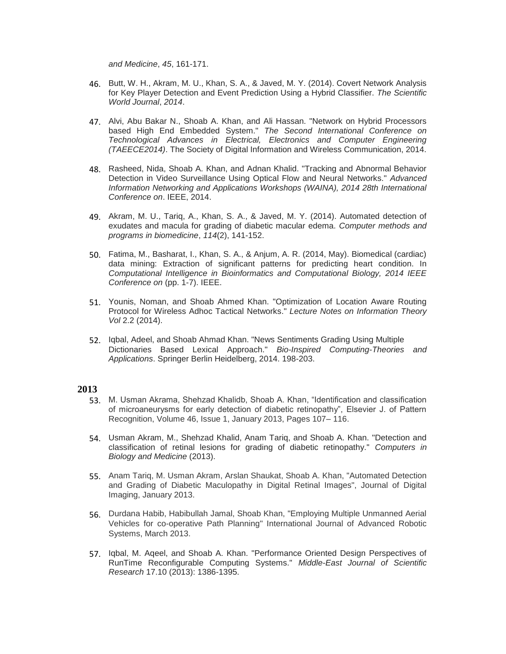*and Medicine*, *45*, 161-171.

- 46. Butt, W. H., Akram, M. U., Khan, S. A., & Javed, M. Y. (2014). Covert Network Analysis for Key Player Detection and Event Prediction Using a Hybrid Classifier. *The Scientific World Journal*, *2014*.
- 47. Alvi, Abu Bakar N., Shoab A. Khan, and Ali Hassan. "Network on Hybrid Processors based High End Embedded System." *The Second International Conference on Technological Advances in Electrical, Electronics and Computer Engineering (TAEECE2014)*. The Society of Digital Information and Wireless Communication, 2014.
- 48. Rasheed, Nida, Shoab A. Khan, and Adnan Khalid. "Tracking and Abnormal Behavior Detection in Video Surveillance Using Optical Flow and Neural Networks." *Advanced Information Networking and Applications Workshops (WAINA), 2014 28th International Conference on*. IEEE, 2014.
- 49. Akram, M. U., Tariq, A., Khan, S. A., & Javed, M. Y. (2014). Automated detection of exudates and macula for grading of diabetic macular edema. *Computer methods and programs in biomedicine*, *114*(2), 141-152.
- 50. Fatima, M., Basharat, I., Khan, S. A., & Anjum, A. R. (2014, May). Biomedical (cardiac) data mining: Extraction of significant patterns for predicting heart condition. In *Computational Intelligence in Bioinformatics and Computational Biology, 2014 IEEE Conference on* (pp. 1-7). IEEE.
- 51. Younis, Noman, and Shoab Ahmed Khan. "Optimization of Location Aware Routing Protocol for Wireless Adhoc Tactical Networks." *Lecture Notes on Information Theory Vol* 2.2 (2014).
- 52. Iqbal, Adeel, and Shoab Ahmad Khan. "News Sentiments Grading Using Multiple Dictionaries Based Lexical Approach." *Bio-Inspired Computing-Theories and Applications*. Springer Berlin Heidelberg, 2014. 198-203.

- 53. M. Usman Akrama, Shehzad Khalidb, Shoab A. Khan, "Identification and classification of microaneurysms for early detection of diabetic retinopathy", Elsevier J. of Pattern Recognition, Volume 46, Issue 1, January 2013, Pages 107– 116.
- 54. Usman Akram, M., Shehzad Khalid, Anam Tariq, and Shoab A. Khan. "Detection and classification of retinal lesions for grading of diabetic retinopathy." *Computers in Biology and Medicine* (2013).
- 55. Anam Tariq, M. Usman Akram, Arslan Shaukat, Shoab A. Khan, "Automated Detection and Grading of Diabetic Maculopathy in Digital Retinal Images", Journal of Digital Imaging, January 2013.
- 56. Durdana Habib, Habibullah Jamal, Shoab Khan, "Employing Multiple Unmanned Aerial Vehicles for co-operative Path Planning" International Journal of Advanced Robotic Systems, March 2013.
- 57. Iqbal, M. Aqeel, and Shoab A. Khan. "Performance Oriented Design Perspectives of RunTime Reconfigurable Computing Systems." *Middle-East Journal of Scientific Research* 17.10 (2013): 1386-1395.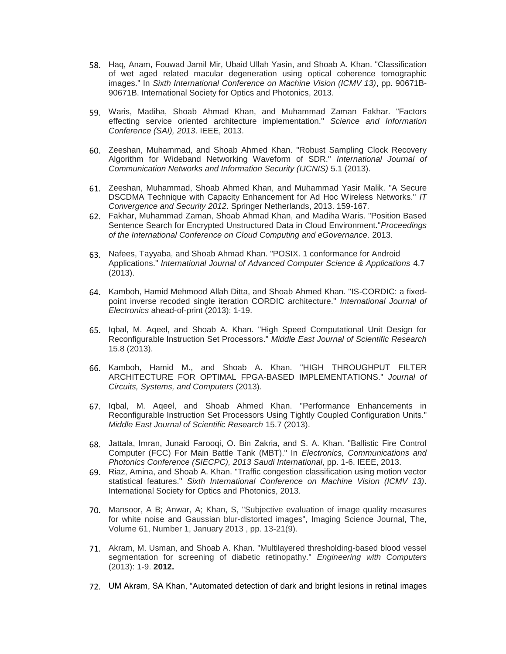- 58. Haq, Anam, Fouwad Jamil Mir, Ubaid Ullah Yasin, and Shoab A. Khan. "Classification of wet aged related macular degeneration using optical coherence tomographic images." In *Sixth International Conference on Machine Vision (ICMV 13)*, pp. 90671B-90671B. International Society for Optics and Photonics, 2013.
- 59. Waris, Madiha, Shoab Ahmad Khan, and Muhammad Zaman Fakhar. "Factors effecting service oriented architecture implementation." *Science and Information Conference (SAI), 2013*. IEEE, 2013.
- 60. Zeeshan, Muhammad, and Shoab Ahmed Khan. "Robust Sampling Clock Recovery Algorithm for Wideband Networking Waveform of SDR." *International Journal of Communication Networks and Information Security (IJCNIS)* 5.1 (2013).
- 61. Zeeshan, Muhammad, Shoab Ahmed Khan, and Muhammad Yasir Malik. "A Secure DSCDMA Technique with Capacity Enhancement for Ad Hoc Wireless Networks." *IT Convergence and Security 2012*. Springer Netherlands, 2013. 159-167.
- 62. Fakhar, Muhammad Zaman, Shoab Ahmad Khan, and Madiha Waris. "Position Based Sentence Search for Encrypted Unstructured Data in Cloud Environment."*Proceedings of the International Conference on Cloud Computing and eGovernance*. 2013.
- 63. Nafees, Tayyaba, and Shoab Ahmad Khan. "POSIX. 1 conformance for Android Applications." *International Journal of Advanced Computer Science & Applications* 4.7 (2013).
- 64. Kamboh, Hamid Mehmood Allah Ditta, and Shoab Ahmed Khan. "IS-CORDIC: a fixedpoint inverse recoded single iteration CORDIC architecture." *International Journal of Electronics* ahead-of-print (2013): 1-19.
- 65. Iqbal, M. Aqeel, and Shoab A. Khan. "High Speed Computational Unit Design for Reconfigurable Instruction Set Processors." *Middle East Journal of Scientific Research* 15.8 (2013).
- 66. Kamboh, Hamid M., and Shoab A. Khan. "HIGH THROUGHPUT FILTER ARCHITECTURE FOR OPTIMAL FPGA-BASED IMPLEMENTATIONS." *Journal of Circuits, Systems, and Computers* (2013).
- 67. Iqbal, M. Aqeel, and Shoab Ahmed Khan. "Performance Enhancements in Reconfigurable Instruction Set Processors Using Tightly Coupled Configuration Units." *Middle East Journal of Scientific Research* 15.7 (2013).
- 68. Jattala, Imran, Junaid Farooqi, O. Bin Zakria, and S. A. Khan. "Ballistic Fire Control Computer (FCC) For Main Battle Tank (MBT)." In *Electronics, Communications and Photonics Conference (SIECPC), 2013 Saudi International*, pp. 1-6. IEEE, 2013.
- 69. Riaz, Amina, and Shoab A. Khan. "Traffic congestion classification using motion vector statistical features." *Sixth International Conference on Machine Vision (ICMV 13)*. International Society for Optics and Photonics, 2013.
- 70. Mansoor, A B; Anwar, A; Khan, S, "Subjective evaluation of image quality measures for white noise and Gaussian blur-distorted images", Imaging Science Journal, The, Volume 61, Number 1, January 2013 , pp. 13-21(9).
- 71. Akram, M. Usman, and Shoab A. Khan. "Multilayered thresholding-based blood vessel segmentation for screening of diabetic retinopathy." *Engineering with Computers* (2013): 1-9. **2012.**
- 72. UM Akram, SA Khan, ["Automated detection of dark and bright lesions in retinal images](http://www.springerlink.com/index/2386Q06432438505.pdf)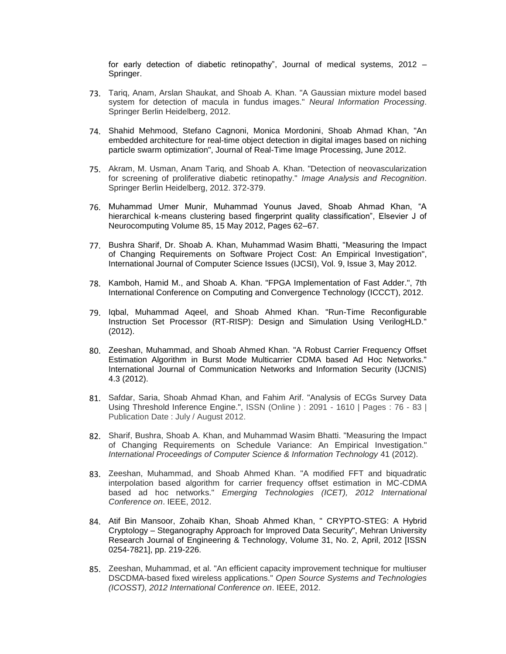[for early detection of diabetic retinopathy",](http://www.springerlink.com/index/2386Q06432438505.pdf) Journal of medical systems, 2012 – Springer.

- 73. Tariq, Anam, Arslan Shaukat, and Shoab A. Khan. "A Gaussian mixture model based system for detection of macula in fundus images." *Neural Information Processing*. Springer Berlin Heidelberg, 2012.
- 74. Shahid Mehmood, Stefano Cagnoni, Monica Mordonini, Shoab Ahmad Khan, "An embedded architecture for real-time object detection in digital images based on niching particle swarm optimization", Journal of Real-Time Image Processing, June 2012.
- 75. Akram, M. Usman, Anam Tariq, and Shoab A. Khan. "Detection of neovascularization for screening of proliferative diabetic retinopathy." *Image Analysis and Recognition*. Springer Berlin Heidelberg, 2012. 372-379.
- 76. Muhammad Umer Munir, Muhammad Younus Javed, Shoab Ahmad Khan, "A hierarchical k-means clustering based fingerprint quality classification", Elsevier J of Neurocomputing Volume 85, 15 May 2012, Pages 62–67.
- 77. Bushra Sharif, Dr. Shoab A. Khan, Muhammad Wasim Bhatti, "Measuring the Impact of Changing Requirements on Software Project Cost: An Empirical Investigation", International Journal of Computer Science Issues (IJCSI), Vol. 9, Issue 3, May 2012.
- 78. Kamboh, Hamid M., and Shoab A. Khan. "FPGA Implementation of Fast Adder.", 7th International Conference on [Computing and Convergence](http://ieeexplore.ieee.org/xpl/mostRecentIssue.jsp?punumber=6495744) [Technology \(ICCCT\), 2012.](http://ieeexplore.ieee.org/xpl/mostRecentIssue.jsp?punumber=6495744)
- 79. Iqbal, Muhammad Aqeel, and Shoab Ahmed Khan. "Run-Time Reconfigurable Instruction Set Processor (RT-RISP): Design and Simulation Using VerilogHLD." (2012).
- 80. Zeeshan, Muhammad, and Shoab Ahmed Khan. "A Robust Carrier Frequency Offset Estimation Algorithm in Burst Mode Multicarrier CDMA based Ad Hoc Networks." International Journal of Communication Networks and Information Security (IJCNIS) 4.3 (2012).
- 81. Safdar, Saria, Shoab Ahmad Khan, and Fahim Arif. "Analysis of ECGs Survey Data Using Threshold Inference Engine.", ISSN (Online ) : 2091 - 1610 | Pages : 76 - 83 | Publication Date : July / August 2012.
- 82. Sharif, Bushra, Shoab A. Khan, and Muhammad Wasim Bhatti. "Measuring the Impact of Changing Requirements on Schedule Variance: An Empirical Investigation." *International Proceedings of Computer Science & Information Technology* 41 (2012).
- 83. Zeeshan, Muhammad, and Shoab Ahmed Khan. "A modified FFT and biquadratic interpolation based algorithm for carrier frequency offset estimation in MC-CDMA based ad hoc networks." *Emerging Technologies (ICET), 2012 International Conference on*. IEEE, 2012.
- 84. Atif Bin Mansoor, Zohaib Khan, Shoab Ahmed Khan, " CRYPTO-STEG: A Hybrid Cryptology – Steganography Approach for Improved Data Security", Mehran University Research Journal of Engineering & Technology, Volume 31, No. 2, April, 2012 [ISSN 0254-7821], pp. 219-226.
- 85. Zeeshan, Muhammad, et al. "An efficient capacity improvement technique for multiuser DSCDMA-based fixed wireless applications." *Open Source Systems and Technologies (ICOSST), 2012 International Conference on*. IEEE, 2012.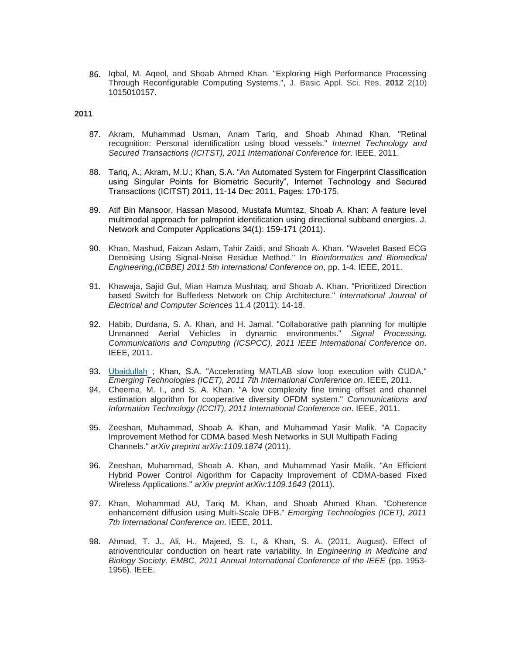86. Iqbal, M. Aqeel, and Shoab Ahmed Khan. "Exploring High Performance Processing Through Reconfigurable Computing Systems.", J. Basic Appl. Sci. Res. **2012** 2(10) 1015010157.

- 87. Akram, Muhammad Usman, Anam Tariq, and Shoab Ahmad Khan. "Retinal recognition: Personal identification using blood vessels." *Internet Technology and Secured Transactions (ICITST), 2011 International Conference for*. IEEE, 2011.
- 88. Tariq, A.; [Akram, M.U.;](http://ieeexplore.ieee.org/search/searchresult.jsp?searchWithin=p_Authors:.QT.Akram,%20M.U..QT.&newsearch=partialPref) [Khan, S.A.](http://ieeexplore.ieee.org/search/searchresult.jsp?searchWithin=p_Authors:.QT.Khan,%20S.A..QT.&newsearch=partialPref) ["A](http://ieeexplore.ieee.org/search/searchresult.jsp?searchWithin=p_Authors:.QT.Khan,%20S.A..QT.&newsearch=partialPref)n Automated System for Fingerprint Classification using Singular Points for Biometric Security", Internet Technology and Secured Transactions (ICITST) 2011, 11-14 Dec 2011, Pages: 170-175.
- 89. Atif Bin Mansoor, Hassan Masood, Mustafa Mumtaz, Shoab A. Khan: A feature level multimodal approach for palmprint identification using directional subband energies. J. Network and Computer Applications 34(1): 159-171 (2011).
- 90. Khan, Mashud, Faizan Aslam, Tahir Zaidi, and Shoab A. Khan. "Wavelet Based ECG Denoising Using Signal-Noise Residue Method." In *Bioinformatics and Biomedical Engineering,(iCBBE) 2011 5th International Conference on*, pp. 1-4. IEEE, 2011.
- 91. Khawaja, Sajid Gul, Mian Hamza Mushtaq, and Shoab A. Khan. "Prioritized Direction based Switch for Bufferless Network on Chip Architecture." *International Journal of Electrical and Computer Sciences* 11.4 (2011): 14-18.
- 92. Habib, Durdana, S. A. Khan, and H. Jamal. "Collaborative path planning for multiple Unmanned Aerial Vehicles in dynamic environments." *Signal Processing, Communications and Computing (ICSPCC), 2011 IEEE International Conference on*. IEEE, 2011.
- 93. [Ubaidullah](http://ieeexplore.ieee.org/search/searchresult.jsp?searchWithin=p_Authors:.QT.Ubaidullah.QT.&newsearch=true) [;](http://ieeexplore.ieee.org/search/searchresult.jsp?searchWithin=p_Authors:.QT.Ubaidullah.QT.&newsearch=true) Khan, S.A. "Accelerating MATLAB slow loop execution with CUDA." *Emerging Technologies (ICET), 2011 7th International Conference on*. IEEE, 2011.
- 94. Cheema, M. I., and S. A. Khan. "A low complexity fine timing offset and channel estimation algorithm for cooperative diversity OFDM system." *Communications and Information Technology (ICCIT), 2011 International Conference on*. IEEE, 2011.
- 95. Zeeshan, Muhammad, Shoab A. Khan, and Muhammad Yasir Malik. "A Capacity Improvement Method for CDMA based Mesh Networks in SUI Multipath Fading Channels." *arXiv preprint arXiv:1109.1874* (2011).
- 96. Zeeshan, Muhammad, Shoab A. Khan, and Muhammad Yasir Malik. "An Efficient Hybrid Power Control Algorithm for Capacity Improvement of CDMA-based Fixed Wireless Applications." *arXiv preprint arXiv:1109.1643* (2011).
- 97. Khan, Mohammad AU, Tariq M. Khan, and Shoab Ahmed Khan. "Coherence enhancement diffusion using Multi-Scale DFB." *Emerging Technologies (ICET), 2011 7th International Conference on*. IEEE, 2011.
- 98. Ahmad, T. J., Ali, H., Majeed, S. I., & Khan, S. A. (2011, August). Effect of atrioventricular conduction on heart rate variability. In *Engineering in Medicine and Biology Society, EMBC, 2011 Annual International Conference of the IEEE* (pp. 1953- 1956). IEEE.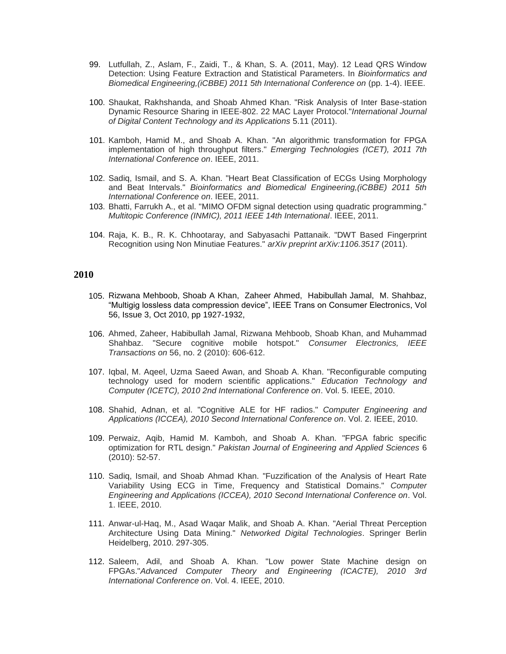- 99. Lutfullah, Z., Aslam, F., Zaidi, T., & Khan, S. A. (2011, May). 12 Lead QRS Window Detection: Using Feature Extraction and Statistical Parameters. In *Bioinformatics and Biomedical Engineering,(iCBBE) 2011 5th International Conference on* (pp. 1-4). IEEE.
- 100. Shaukat, Rakhshanda, and Shoab Ahmed Khan. "Risk Analysis of Inter Base-station Dynamic Resource Sharing in IEEE-802. 22 MAC Layer Protocol."*International Journal of Digital Content Technology and its Applications* 5.11 (2011).
- 101. Kamboh, Hamid M., and Shoab A. Khan. "An algorithmic transformation for FPGA implementation of high throughput filters." *Emerging Technologies (ICET), 2011 7th International Conference on*. IEEE, 2011.
- 102. Sadiq, Ismail, and S. A. Khan. "Heart Beat Classification of ECGs Using Morphology and Beat Intervals." *Bioinformatics and Biomedical Engineering,(iCBBE) 2011 5th International Conference on*. IEEE, 2011.
- 103. Bhatti, Farrukh A., et al. "MIMO OFDM signal detection using quadratic programming." *Multitopic Conference (INMIC), 2011 IEEE 14th International*. IEEE, 2011.
- 104. Raja, K. B., R. K. Chhootaray, and Sabyasachi Pattanaik. "DWT Based Fingerprint Recognition using Non Minutiae Features." *arXiv preprint arXiv:1106.3517* (2011).

- 105. Rizwana Mehboob, Shoab A Khan, Zaheer Ahmed, Habibullah Jamal, M. Shahbaz, "Multigig lossless data compression device", IEEE Trans on Consumer Electronics, Vol 56, Issue 3, Oct 2010, pp 1927-1932,
- 106. Ahmed, Zaheer, Habibullah Jamal, Rizwana Mehboob, Shoab Khan, and Muhammad Shahbaz. "Secure cognitive mobile hotspot." *Consumer Electronics, IEEE Transactions on* 56, no. 2 (2010): 606-612.
- 107. Iqbal, M. Aqeel, Uzma Saeed Awan, and Shoab A. Khan. "Reconfigurable computing technology used for modern scientific applications." *Education Technology and Computer (ICETC), 2010 2nd International Conference on*. Vol. 5. IEEE, 2010.
- 108. Shahid, Adnan, et al. "Cognitive ALE for HF radios." *Computer Engineering and Applications (ICCEA), 2010 Second International Conference on*. Vol. 2. IEEE, 2010.
- 109. Perwaiz, Aqib, Hamid M. Kamboh, and Shoab A. Khan. "FPGA fabric specific optimization for RTL design." *Pakistan Journal of Engineering and Applied Sciences* 6 (2010): 52-57.
- 110. Sadiq, Ismail, and Shoab Ahmad Khan. "Fuzzification of the Analysis of Heart Rate Variability Using ECG in Time, Frequency and Statistical Domains." *Computer Engineering and Applications (ICCEA), 2010 Second International Conference on*. Vol. 1. IEEE, 2010.
- 111. Anwar-ul-Haq, M., Asad Waqar Malik, and Shoab A. Khan. "Aerial Threat Perception Architecture Using Data Mining." *Networked Digital Technologies*. Springer Berlin Heidelberg, 2010. 297-305.
- 112. Saleem, Adil, and Shoab A. Khan. "Low power State Machine design on FPGAs."*Advanced Computer Theory and Engineering (ICACTE), 2010 3rd International Conference on*. Vol. 4. IEEE, 2010.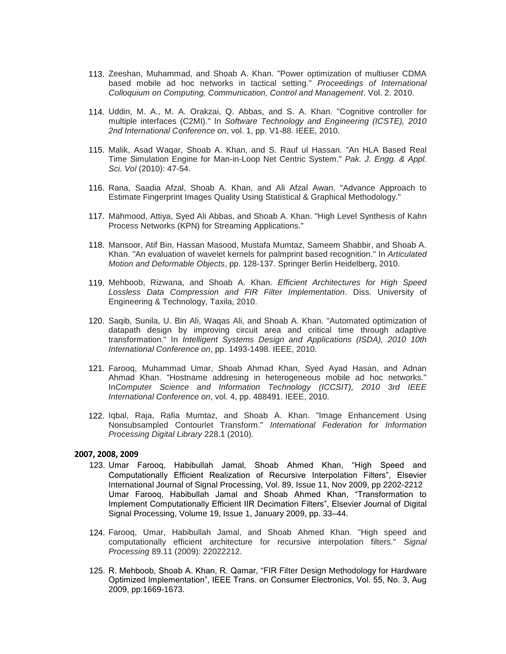- 113. Zeeshan, Muhammad, and Shoab A. Khan. "Power optimization of multiuser CDMA based mobile ad hoc networks in tactical setting." *Proceedings of International Colloquium on Computing, Communication, Control and Management*. Vol. 2. 2010.
- 114. Uddin, M. A., M. A. Orakzai, Q. Abbas, and S. A. Khan. "Cognitive controller for multiple interfaces (C2MI)." In *Software Technology and Engineering (ICSTE), 2010 2nd International Conference on*, vol. 1, pp. V1-88. IEEE, 2010.
- 115. Malik, Asad Waqar, Shoab A. Khan, and S. Rauf ul Hassan. "An HLA Based Real Time Simulation Engine for Man-in-Loop Net Centric System." *Pak. J. Engg. & Appl. Sci. Vol* (2010): 47-54.
- 116. Rana, Saadia Afzal, Shoab A. Khan, and Ali Afzal Awan. "Advance Approach to Estimate Fingerprint Images Quality Using Statistical & Graphical Methodology."
- 117. Mahmood, Attiya, Syed Ali Abbas, and Shoab A. Khan. "High Level Synthesis of Kahn Process Networks (KPN) for Streaming Applications."
- 118. Mansoor, Atif Bin, Hassan Masood, Mustafa Mumtaz, Sameem Shabbir, and Shoab A. Khan. "An evaluation of wavelet kernels for palmprint based recognition." In *Articulated Motion and Deformable Objects*, pp. 128-137. Springer Berlin Heidelberg, 2010.
- 119. Mehboob, Rizwana, and Shoab A. Khan. *Efficient Architectures for High Speed Lossless Data Compression and FIR Filter Implementation*. Diss. University of Engineering & Technology, Taxila, 2010.
- 120. Saqib, Sunila, U. Bin Ali, Waqas Ali, and Shoab A. Khan. "Automated optimization of datapath design by improving circuit area and critical time through adaptive transformation." In *Intelligent Systems Design and Applications (ISDA), 2010 10th International Conference on*, pp. 1493-1498. IEEE, 2010.
- 121. Farooq, Muhammad Umar, Shoab Ahmad Khan, Syed Ayad Hasan, and Adnan Ahmad Khan. "Hostname addresing in heterogeneous mobile ad hoc networks." In*Computer Science and Information Technology (ICCSIT), 2010 3rd IEEE International Conference on*, vol. 4, pp. 488491. IEEE, 2010.
- 122. Iqbal, Raja, Rafia Mumtaz, and Shoab A. Khan. "Image Enhancement Using Nonsubsampled Contourlet Transform." *International Federation for Information Processing Digital Library* 228.1 (2010).

## **2007, 2008, 2009**

- 123. Umar Farooq, Habibullah Jamal, Shoab Ahmed Khan, "High Speed and Computationally Efficient Realization of Recursive Interpolation Filters", Elsevier International Journal of Signal Processing, [Vol. 89, Issue 11,](http://www.sciencedirect.com/science?_ob=PublicationURL&_tockey=%23TOC%235668%232009%23999109988%231216051%23FLA%23&_cdi=5668&_pubType=J&view=c&_auth=y&_acct=C000050221&_version=1&_urlVersion=0&_userid=10&md5=ca25d27d3ca38b3df465e46e80855656) Nov 2009, pp 2202-2212 Umar Farooq, Habibullah Jamal and Shoab Ahmed Khan, "Transformation to Implement Computationally Efficient IIR Decimation Filters", Elsevier Journal of Digital Signal Processing, Volume 19, Issue 1, January 2009, pp. 33–44.
- 124. Farooq, Umar, Habibullah Jamal, and Shoab Ahmed Khan. "High speed and computationally efficient architecture for recursive interpolation filters." *Signal Processing* 89.11 (2009): 22022212.
- 125. R. Mehboob, Shoab A. Khan, R. Qamar, "FIR Filter Design Methodology for Hardware Optimized Implementation", IEEE Trans. on Consumer Electronics, Vol. 55, No. 3, Aug 2009, pp:1669-1673.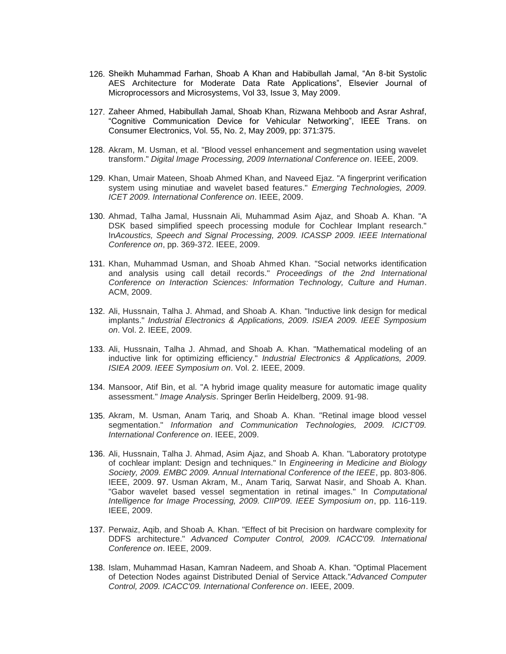- 126. Sheikh Muhammad Farhan, Shoab A Khan and Habibullah Jamal, "An 8-bit Systolic AES Architecture for Moderate Data Rate Applications", Elsevier Journal of Microprocessors and Microsystems, Vol 33, Issue 3, May 2009.
- 127. Zaheer Ahmed, Habibullah Jamal, Shoab Khan, Rizwana Mehboob and Asrar Ashraf, "Cognitive Communication Device for Vehicular Networking", IEEE Trans. on Consumer Electronics, Vol. 55, No. 2, May 2009, pp: 371:375.
- 128. Akram, M. Usman, et al. "Blood vessel enhancement and segmentation using wavelet transform." *Digital Image Processing, 2009 International Conference on*. IEEE, 2009.
- 129. Khan, Umair Mateen, Shoab Ahmed Khan, and Naveed Ejaz. "A fingerprint verification system using minutiae and wavelet based features." *Emerging Technologies, 2009. ICET 2009. International Conference on*. IEEE, 2009.
- 130. Ahmad, Talha Jamal, Hussnain Ali, Muhammad Asim Ajaz, and Shoab A. Khan. "A DSK based simplified speech processing module for Cochlear Implant research." In*Acoustics, Speech and Signal Processing, 2009. ICASSP 2009. IEEE International Conference on*, pp. 369-372. IEEE, 2009.
- 131. Khan, Muhammad Usman, and Shoab Ahmed Khan. "Social networks identification and analysis using call detail records." *Proceedings of the 2nd International Conference on Interaction Sciences: Information Technology, Culture and Human*. ACM, 2009.
- 132. Ali, Hussnain, Talha J. Ahmad, and Shoab A. Khan. "Inductive link design for medical implants." *Industrial Electronics & Applications, 2009. ISIEA 2009. IEEE Symposium on*. Vol. 2. IEEE, 2009.
- 133. Ali, Hussnain, Talha J. Ahmad, and Shoab A. Khan. "Mathematical modeling of an inductive link for optimizing efficiency." *Industrial Electronics & Applications, 2009. ISIEA 2009. IEEE Symposium on*. Vol. 2. IEEE, 2009.
- 134. Mansoor, Atif Bin, et al. "A hybrid image quality measure for automatic image quality assessment." *Image Analysis*. Springer Berlin Heidelberg, 2009. 91-98.
- 135. Akram, M. Usman, Anam Tariq, and Shoab A. Khan. "Retinal image blood vessel segmentation." *Information and Communication Technologies, 2009. ICICT'09. International Conference on*. IEEE, 2009.
- 136. Ali, Hussnain, Talha J. Ahmad, Asim Ajaz, and Shoab A. Khan. "Laboratory prototype of cochlear implant: Design and techniques." In *Engineering in Medicine and Biology Society, 2009. EMBC 2009. Annual International Conference of the IEEE*, pp. 803-806. IEEE, 2009. 97. Usman Akram, M., Anam Tariq, Sarwat Nasir, and Shoab A. Khan. "Gabor wavelet based vessel segmentation in retinal images." In *Computational Intelligence for Image Processing, 2009. CIIP'09. IEEE Symposium on*, pp. 116-119. IEEE, 2009.
- 137. Perwaiz, Aqib, and Shoab A. Khan. "Effect of bit Precision on hardware complexity for DDFS architecture." *Advanced Computer Control, 2009. ICACC'09. International Conference on*. IEEE, 2009.
- 138. Islam, Muhammad Hasan, Kamran Nadeem, and Shoab A. Khan. "Optimal Placement of Detection Nodes against Distributed Denial of Service Attack."*Advanced Computer Control, 2009. ICACC'09. International Conference on*. IEEE, 2009.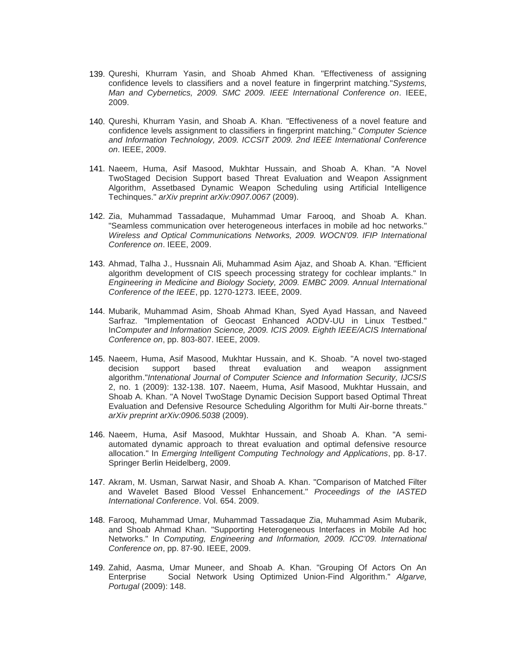- 139. Qureshi, Khurram Yasin, and Shoab Ahmed Khan. "Effectiveness of assigning confidence levels to classifiers and a novel feature in fingerprint matching."*Systems, Man and Cybernetics, 2009. SMC 2009. IEEE International Conference on*. IEEE, 2009.
- 140. Qureshi, Khurram Yasin, and Shoab A. Khan. "Effectiveness of a novel feature and confidence levels assignment to classifiers in fingerprint matching." *Computer Science and Information Technology, 2009. ICCSIT 2009. 2nd IEEE International Conference on*. IEEE, 2009.
- 141. Naeem, Huma, Asif Masood, Mukhtar Hussain, and Shoab A. Khan. "A Novel TwoStaged Decision Support based Threat Evaluation and Weapon Assignment Algorithm, Assetbased Dynamic Weapon Scheduling using Artificial Intelligence Techinques." *arXiv preprint arXiv:0907.0067* (2009).
- 142. Zia, Muhammad Tassadaque, Muhammad Umar Farooq, and Shoab A. Khan. "Seamless communication over heterogeneous interfaces in mobile ad hoc networks." *Wireless and Optical Communications Networks, 2009. WOCN'09. IFIP International Conference on*. IEEE, 2009.
- 143. Ahmad, Talha J., Hussnain Ali, Muhammad Asim Ajaz, and Shoab A. Khan. "Efficient algorithm development of CIS speech processing strategy for cochlear implants." In *Engineering in Medicine and Biology Society, 2009. EMBC 2009. Annual International Conference of the IEEE*, pp. 1270-1273. IEEE, 2009.
- 144. Mubarik, Muhammad Asim, Shoab Ahmad Khan, Syed Ayad Hassan, and Naveed Sarfraz. "Implementation of Geocast Enhanced AODV-UU in Linux Testbed." In*Computer and Information Science, 2009. ICIS 2009. Eighth IEEE/ACIS International Conference on*, pp. 803-807. IEEE, 2009.
- 145. Naeem, Huma, Asif Masood, Mukhtar Hussain, and K. Shoab. "A novel two-staged decision support based threat evaluation and weapon assignment algorithm."*Intenational Journal of Computer Science and Information Security, IJCSIS* 2, no. 1 (2009): 132-138. 107. Naeem, Huma, Asif Masood, Mukhtar Hussain, and Shoab A. Khan. "A Novel TwoStage Dynamic Decision Support based Optimal Threat Evaluation and Defensive Resource Scheduling Algorithm for Multi Air-borne threats." *arXiv preprint arXiv:0906.5038* (2009).
- 146. Naeem, Huma, Asif Masood, Mukhtar Hussain, and Shoab A. Khan. "A semiautomated dynamic approach to threat evaluation and optimal defensive resource allocation." In *Emerging Intelligent Computing Technology and Applications*, pp. 8-17. Springer Berlin Heidelberg, 2009.
- 147. Akram, M. Usman, Sarwat Nasir, and Shoab A. Khan. "Comparison of Matched Filter and Wavelet Based Blood Vessel Enhancement." *Proceedings of the IASTED International Conference*. Vol. 654. 2009.
- 148. Farooq, Muhammad Umar, Muhammad Tassadaque Zia, Muhammad Asim Mubarik, and Shoab Ahmad Khan. "Supporting Heterogeneous Interfaces in Mobile Ad hoc Networks." In *Computing, Engineering and Information, 2009. ICC'09. International Conference on*, pp. 87-90. IEEE, 2009.
- 149. Zahid, Aasma, Umar Muneer, and Shoab A. Khan. "Grouping Of Actors On An Enterprise Social Network Using Optimized Union-Find Algorithm." *Algarve, Portugal* (2009): 148.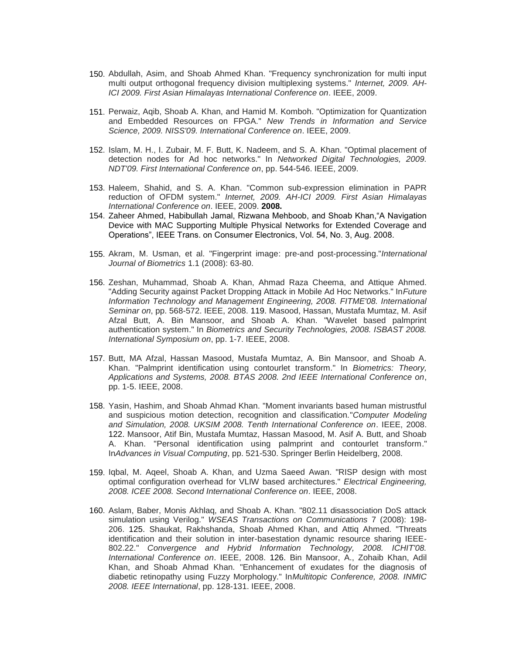- 150. Abdullah, Asim, and Shoab Ahmed Khan. "Frequency synchronization for multi input multi output orthogonal frequency division multiplexing systems." *Internet, 2009. AH-ICI 2009. First Asian Himalayas International Conference on*. IEEE, 2009.
- 151. Perwaiz, Aqib, Shoab A. Khan, and Hamid M. Komboh. "Optimization for Quantization and Embedded Resources on FPGA." *New Trends in Information and Service Science, 2009. NISS'09. International Conference on*. IEEE, 2009.
- 152. Islam, M. H., I. Zubair, M. F. Butt, K. Nadeem, and S. A. Khan. "Optimal placement of detection nodes for Ad hoc networks." In *Networked Digital Technologies, 2009. NDT'09. First International Conference on*, pp. 544-546. IEEE, 2009.
- 153. Haleem, Shahid, and S. A. Khan. "Common sub-expression elimination in PAPR reduction of OFDM system." *Internet, 2009. AH-ICI 2009. First Asian Himalayas International Conference on*. IEEE, 2009. **2008.**
- 154. Zaheer Ahmed, Habibullah Jamal, Rizwana Mehboob, and Shoab Khan,"A Navigation Device with MAC Supporting Multiple Physical Networks for Extended Coverage and Operations", IEEE Trans. on Consumer Electronics, Vol. 54, No. 3, Aug. 2008.
- 155. Akram, M. Usman, et al. "Fingerprint image: pre-and post-processing."*International Journal of Biometrics* 1.1 (2008): 63-80.
- 156. Zeshan, Muhammad, Shoab A. Khan, Ahmad Raza Cheema, and Attique Ahmed. "Adding Security against Packet Dropping Attack in Mobile Ad Hoc Networks." In*Future Information Technology and Management Engineering, 2008. FITME'08. International Seminar on*, pp. 568-572. IEEE, 2008. 119. Masood, Hassan, Mustafa Mumtaz, M. Asif Afzal Butt, A. Bin Mansoor, and Shoab A. Khan. "Wavelet based palmprint authentication system." In *Biometrics and Security Technologies, 2008. ISBAST 2008. International Symposium on*, pp. 1-7. IEEE, 2008.
- 157. Butt, MA Afzal, Hassan Masood, Mustafa Mumtaz, A. Bin Mansoor, and Shoab A. Khan. "Palmprint identification using contourlet transform." In *Biometrics: Theory, Applications and Systems, 2008. BTAS 2008. 2nd IEEE International Conference on*, pp. 1-5. IEEE, 2008.
- 158. Yasin, Hashim, and Shoab Ahmad Khan. "Moment invariants based human mistrustful and suspicious motion detection, recognition and classification."*Computer Modeling and Simulation, 2008. UKSIM 2008. Tenth International Conference on*. IEEE, 2008. 122. Mansoor, Atif Bin, Mustafa Mumtaz, Hassan Masood, M. Asif A. Butt, and Shoab A. Khan. "Personal identification using palmprint and contourlet transform." In*Advances in Visual Computing*, pp. 521-530. Springer Berlin Heidelberg, 2008.
- 159. Iqbal, M. Aqeel, Shoab A. Khan, and Uzma Saeed Awan. "RISP design with most optimal configuration overhead for VLIW based architectures." *Electrical Engineering, 2008. ICEE 2008. Second International Conference on*. IEEE, 2008.
- 160. Aslam, Baber, Monis Akhlaq, and Shoab A. Khan. "802.11 disassociation DoS attack simulation using Verilog." *WSEAS Transactions on Communications* 7 (2008): 198- 206. 125. Shaukat, Rakhshanda, Shoab Ahmed Khan, and Attiq Ahmed. "Threats identification and their solution in inter-basestation dynamic resource sharing IEEE-802.22." *Convergence and Hybrid Information Technology, 2008. ICHIT'08. International Conference on*. IEEE, 2008. 126. Bin Mansoor, A., Zohaib Khan, Adil Khan, and Shoab Ahmad Khan. "Enhancement of exudates for the diagnosis of diabetic retinopathy using Fuzzy Morphology." In*Multitopic Conference, 2008. INMIC 2008. IEEE International*, pp. 128-131. IEEE, 2008.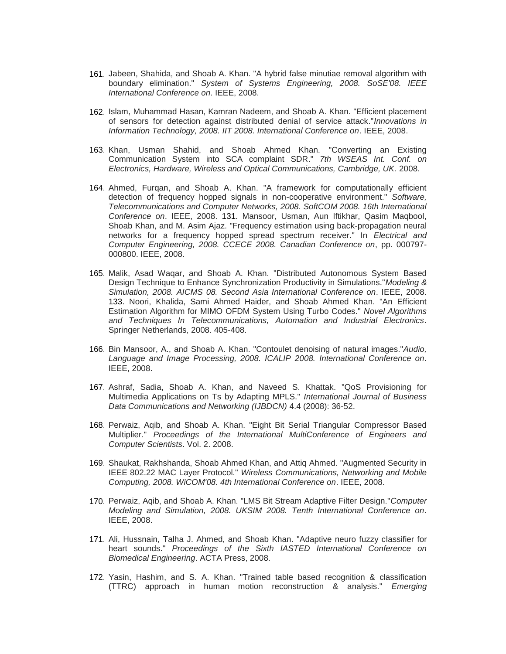- 161. Jabeen, Shahida, and Shoab A. Khan. "A hybrid false minutiae removal algorithm with boundary elimination." *System of Systems Engineering, 2008. SoSE'08. IEEE International Conference on*. IEEE, 2008.
- 162. Islam, Muhammad Hasan, Kamran Nadeem, and Shoab A. Khan. "Efficient placement of sensors for detection against distributed denial of service attack."*Innovations in Information Technology, 2008. IIT 2008. International Conference on*. IEEE, 2008.
- 163. Khan, Usman Shahid, and Shoab Ahmed Khan. "Converting an Existing Communication System into SCA complaint SDR." *7th WSEAS Int. Conf. on Electronics, Hardware, Wireless and Optical Communications, Cambridge, UK*. 2008.
- 164. Ahmed, Furqan, and Shoab A. Khan. "A framework for computationally efficient detection of frequency hopped signals in non-cooperative environment." *Software, Telecommunications and Computer Networks, 2008. SoftCOM 2008. 16th International Conference on*. IEEE, 2008. 131. Mansoor, Usman, Aun Iftikhar, Qasim Maqbool, Shoab Khan, and M. Asim Ajaz. "Frequency estimation using back-propagation neural networks for a frequency hopped spread spectrum receiver." In *Electrical and Computer Engineering, 2008. CCECE 2008. Canadian Conference on*, pp. 000797- 000800. IEEE, 2008.
- 165. Malik, Asad Waqar, and Shoab A. Khan. "Distributed Autonomous System Based Design Technique to Enhance Synchronization Productivity in Simulations."*Modeling & Simulation, 2008. AICMS 08. Second Asia International Conference on*. IEEE, 2008. 133. Noori, Khalida, Sami Ahmed Haider, and Shoab Ahmed Khan. "An Efficient Estimation Algorithm for MIMO OFDM System Using Turbo Codes." *Novel Algorithms and Techniques In Telecommunications, Automation and Industrial Electronics*. Springer Netherlands, 2008. 405-408.
- 166. Bin Mansoor, A., and Shoab A. Khan. "Contoulet denoising of natural images."*Audio, Language and Image Processing, 2008. ICALIP 2008. International Conference on*. IEEE, 2008.
- 167. Ashraf, Sadia, Shoab A. Khan, and Naveed S. Khattak. "QoS Provisioning for Multimedia Applications on Ts by Adapting MPLS." *International Journal of Business Data Communications and Networking (IJBDCN)* 4.4 (2008): 36-52.
- 168. Perwaiz, Aqib, and Shoab A. Khan. "Eight Bit Serial Triangular Compressor Based Multiplier." *Proceedings of the International MultiConference of Engineers and Computer Scientists*. Vol. 2. 2008.
- 169. Shaukat, Rakhshanda, Shoab Ahmed Khan, and Attiq Ahmed. "Augmented Security in IEEE 802.22 MAC Layer Protocol." *Wireless Communications, Networking and Mobile Computing, 2008. WiCOM'08. 4th International Conference on*. IEEE, 2008.
- 170. Perwaiz, Aqib, and Shoab A. Khan. "LMS Bit Stream Adaptive Filter Design."*Computer Modeling and Simulation, 2008. UKSIM 2008. Tenth International Conference on*. IEEE, 2008.
- 171. Ali, Hussnain, Talha J. Ahmed, and Shoab Khan. "Adaptive neuro fuzzy classifier for heart sounds." *Proceedings of the Sixth IASTED International Conference on Biomedical Engineering*. ACTA Press, 2008.
- 172. Yasin, Hashim, and S. A. Khan. "Trained table based recognition & classification (TTRC) approach in human motion reconstruction & analysis." *Emerging*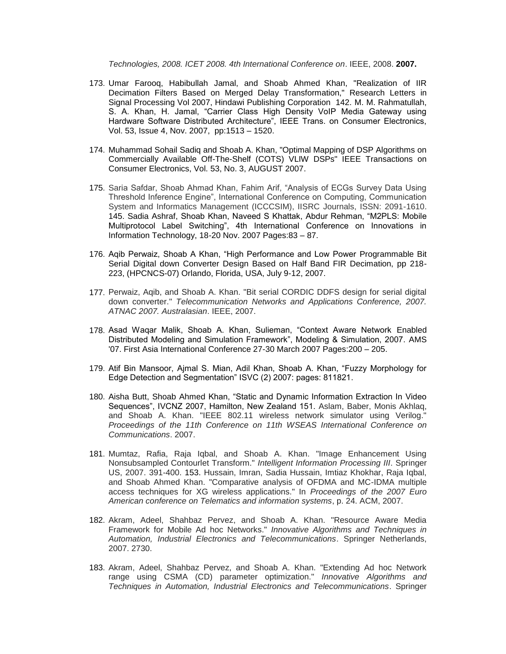*Technologies, 2008. ICET 2008. 4th International Conference on*. IEEE, 2008. **2007.**

- 173. Umar Farooq, Habibullah Jamal, and Shoab Ahmed Khan, "Realization of IIR Decimation Filters Based on Merged Delay Transformation," Research Letters in Signal Processing Vol 2007, Hindawi Publishing Corporation 142. M. M. Rahmatullah, S. A. Khan, H. Jamal, "Carrier Class High Density VoIP Media Gateway using Hardware Software Distributed Architecture", IEEE Trans. on Consumer Electronics, Vol. 53, Issue 4, Nov. 2007, pp:1513 – 1520.
- 174. Muhammad Sohail Sadiq and Shoab A. Khan, "Optimal Mapping of DSP Algorithms on Commercially Available Off-The-Shelf (COTS) VLIW DSPs" IEEE Transactions on Consumer Electronics, Vol. 53, No. 3, AUGUST 2007.
- 175. Saria Safdar, Shoab Ahmad Khan, Fahim Arif, "Analysis of ECGs Survey Data Using Threshold Inference Engine", International Conference on Computing, Communication System and Informatics Management (ICCCSIM), IISRC Journals, ISSN: 2091-1610. 145. Sadia Ashraf, Shoab Khan, Naveed S Khattak, Abdur Rehman, "M2PLS: Mobile Multiprotocol Label Switching", 4th International Conference on Innovations in Information Technology, 18-20 Nov. 2007 Pages:83 – 87.
- 176. Aqib Perwaiz, Shoab A Khan, "High Performance and Low Power Programmable Bit Serial Digital down Converter Design Based on Half Band FIR Decimation, pp 218- 223, (HPCNCS-07) Orlando, Florida, USA, July 9-12, 2007.
- 177. Perwaiz, Aqib, and Shoab A. Khan. "Bit serial CORDIC DDFS design for serial digital down converter." *Telecommunication Networks and Applications Conference, 2007. ATNAC 2007. Australasian*. IEEE, 2007.
- 178. Asad Waqar Malik, Shoab A. Khan, Sulieman, "Context Aware Network Enabled Distributed Modeling and Simulation Framework", Modeling & Simulation, 2007. AMS '07. First Asia International Conference 27-30 March 2007 Pages:200 – 205.
- 179. Atif Bin Mansoor, Ajmal S. Mian, Adil Khan, Shoab A. Khan, "Fuzzy Morphology for Edge Detection and Segmentation" ISVC (2) 2007: pages: 811821.
- 180. Aisha Butt, Shoab Ahmed Khan, "Static and Dynamic Information Extraction In Video Sequences", IVCNZ 2007, Hamilton, New Zealand 151. Aslam, Baber, Monis Akhlaq, and Shoab A. Khan. "IEEE 802.11 wireless network simulator using Verilog." *Proceedings of the 11th Conference on 11th WSEAS International Conference on Communications*. 2007.
- 181. Mumtaz, Rafia, Raja Iqbal, and Shoab A. Khan. "Image Enhancement Using Nonsubsampled Contourlet Transform." *Intelligent Information Processing III*. Springer US, 2007. 391-400. 153. Hussain, Imran, Sadia Hussain, Imtiaz Khokhar, Raja Iqbal, and Shoab Ahmed Khan. "Comparative analysis of OFDMA and MC-IDMA multiple access techniques for XG wireless applications." In *Proceedings of the 2007 Euro American conference on Telematics and information systems*, p. 24. ACM, 2007.
- 182. Akram, Adeel, Shahbaz Pervez, and Shoab A. Khan. "Resource Aware Media Framework for Mobile Ad hoc Networks." *Innovative Algorithms and Techniques in Automation, Industrial Electronics and Telecommunications*. Springer Netherlands, 2007. 2730.
- 183. Akram, Adeel, Shahbaz Pervez, and Shoab A. Khan. "Extending Ad hoc Network range using CSMA (CD) parameter optimization." *Innovative Algorithms and Techniques in Automation, Industrial Electronics and Telecommunications*. Springer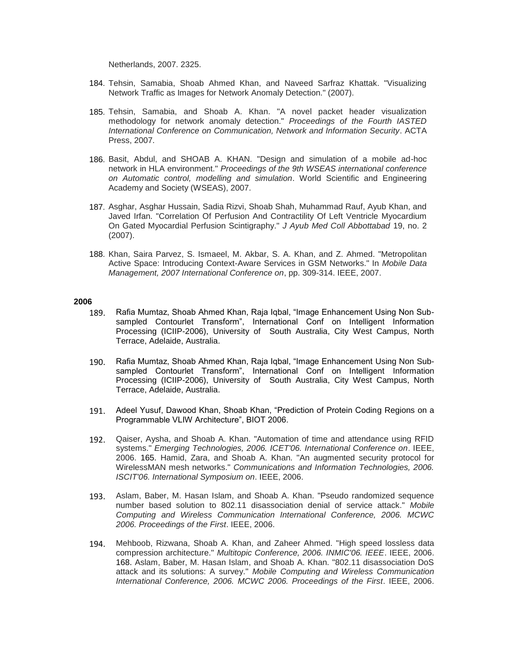Netherlands, 2007. 2325.

- 184. Tehsin, Samabia, Shoab Ahmed Khan, and Naveed Sarfraz Khattak. "Visualizing Network Traffic as Images for Network Anomaly Detection." (2007).
- 185. Tehsin, Samabia, and Shoab A. Khan. "A novel packet header visualization methodology for network anomaly detection." *Proceedings of the Fourth IASTED International Conference on Communication, Network and Information Security*. ACTA Press, 2007.
- 186. Basit, Abdul, and SHOAB A. KHAN. "Design and simulation of a mobile ad-hoc network in HLA environment." *Proceedings of the 9th WSEAS international conference on Automatic control, modelling and simulation*. World Scientific and Engineering Academy and Society (WSEAS), 2007.
- 187. Asghar, Asghar Hussain, Sadia Rizvi, Shoab Shah, Muhammad Rauf, Ayub Khan, and Javed Irfan. "Correlation Of Perfusion And Contractility Of Left Ventricle Myocardium On Gated Myocardial Perfusion Scintigraphy." *J Ayub Med Coll Abbottabad* 19, no. 2 (2007).
- 188. Khan, Saira Parvez, S. Ismaeel, M. Akbar, S. A. Khan, and Z. Ahmed. "Metropolitan Active Space: Introducing Context-Aware Services in GSM Networks." In *Mobile Data Management, 2007 International Conference on*, pp. 309-314. IEEE, 2007.

- 189. Rafia Mumtaz, Shoab Ahmed Khan, Raja Iqbal, "Image Enhancement Using Non Subsampled Contourlet Transform", International Conf on Intelligent Information Processing (ICIIP-2006), University of South Australia, City West Campus, North Terrace, Adelaide, Australia.
- 190. Rafia Mumtaz, Shoab Ahmed Khan, Raja Iqbal, "Image Enhancement Using Non Subsampled Contourlet Transform", International Conf on Intelligent Information Processing (ICIIP-2006), University of South Australia, City West Campus, North Terrace, Adelaide, Australia.
- 191. Adeel Yusuf, Dawood Khan, Shoab Khan, "Prediction of Protein Coding Regions on a Programmable VLIW Architecture", BIOT 2006.
- 192. Qaiser, Aysha, and Shoab A. Khan. "Automation of time and attendance using RFID systems." *Emerging Technologies, 2006. ICET'06. International Conference on*. IEEE, 2006. 165. Hamid, Zara, and Shoab A. Khan. "An augmented security protocol for WirelessMAN mesh networks." *Communications and Information Technologies, 2006. ISCIT'06. International Symposium on*. IEEE, 2006.
- 193. Aslam, Baber, M. Hasan Islam, and Shoab A. Khan. "Pseudo randomized sequence number based solution to 802.11 disassociation denial of service attack." *Mobile Computing and Wireless Communication International Conference, 2006. MCWC 2006. Proceedings of the First*. IEEE, 2006.
- 194. Mehboob, Rizwana, Shoab A. Khan, and Zaheer Ahmed. "High speed lossless data compression architecture." *Multitopic Conference, 2006. INMIC'06. IEEE*. IEEE, 2006. 168. Aslam, Baber, M. Hasan Islam, and Shoab A. Khan. "802.11 disassociation DoS attack and its solutions: A survey." *Mobile Computing and Wireless Communication International Conference, 2006. MCWC 2006. Proceedings of the First*. IEEE, 2006.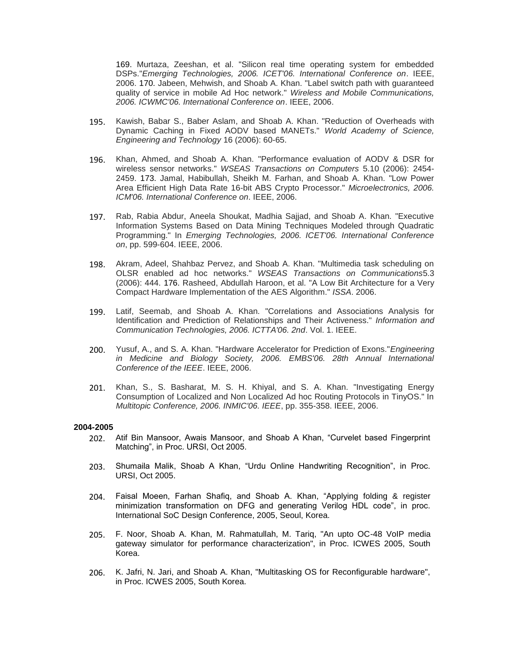169. Murtaza, Zeeshan, et al. "Silicon real time operating system for embedded DSPs."*Emerging Technologies, 2006. ICET'06. International Conference on*. IEEE, 2006. 170. Jabeen, Mehwish, and Shoab A. Khan. "Label switch path with guaranteed quality of service in mobile Ad Hoc network." *Wireless and Mobile Communications, 2006. ICWMC'06. International Conference on*. IEEE, 2006.

- 195. Kawish, Babar S., Baber Aslam, and Shoab A. Khan. "Reduction of Overheads with Dynamic Caching in Fixed AODV based MANETs." *World Academy of Science, Engineering and Technology* 16 (2006): 60-65.
- 196. Khan, Ahmed, and Shoab A. Khan. "Performance evaluation of AODV & DSR for wireless sensor networks." *WSEAS Transactions on Computers* 5.10 (2006): 2454- 2459. 173. Jamal, Habibullah, Sheikh M. Farhan, and Shoab A. Khan. "Low Power Area Efficient High Data Rate 16-bit ABS Crypto Processor." *Microelectronics, 2006. ICM'06. International Conference on*. IEEE, 2006.
- 197. Rab, Rabia Abdur, Aneela Shoukat, Madhia Sajjad, and Shoab A. Khan. "Executive Information Systems Based on Data Mining Techniques Modeled through Quadratic Programming." In *Emerging Technologies, 2006. ICET'06. International Conference on*, pp. 599-604. IEEE, 2006.
- 198. Akram, Adeel, Shahbaz Pervez, and Shoab A. Khan. "Multimedia task scheduling on OLSR enabled ad hoc networks." *WSEAS Transactions on Communications*5.3 (2006): 444. 176. Rasheed, Abdullah Haroon, et al. "A Low Bit Architecture for a Very Compact Hardware Implementation of the AES Algorithm." *ISSA*. 2006.
- 199. Latif, Seemab, and Shoab A. Khan. "Correlations and Associations Analysis for Identification and Prediction of Relationships and Their Activeness." *Information and Communication Technologies, 2006. ICTTA'06. 2nd*. Vol. 1. IEEE.
- 200. Yusuf, A., and S. A. Khan. "Hardware Accelerator for Prediction of Exons."*Engineering in Medicine and Biology Society, 2006. EMBS'06. 28th Annual International Conference of the IEEE*. IEEE, 2006.
- 201. Khan, S., S. Basharat, M. S. H. Khiyal, and S. A. Khan. "Investigating Energy Consumption of Localized and Non Localized Ad hoc Routing Protocols in TinyOS." In *Multitopic Conference, 2006. INMIC'06. IEEE*, pp. 355-358. IEEE, 2006.

#### **2004-2005**

- 202. Atif Bin Mansoor, Awais Mansoor, and Shoab A Khan, "Curvelet based Fingerprint Matching", in Proc. URSI, Oct 2005.
- 203. Shumaila Malik, Shoab A Khan, "Urdu Online Handwriting Recognition", in Proc. URSI, Oct 2005.
- 204. Faisal Moeen, Farhan Shafiq, and Shoab A. Khan, "Applying folding & register minimization transformation on DFG and generating Verilog HDL code", in proc. International SoC Design Conference, 2005, Seoul, Korea.
- 205. F. Noor, Shoab A. Khan, M. Rahmatullah, M. Tariq, "An upto OC-48 VoIP media gateway simulator for performance characterization", in Proc. ICWES 2005, South Korea.
- 206. K. Jafri, N. Jari, and Shoab A. Khan, "Multitasking OS for Reconfigurable hardware", in Proc. ICWES 2005, South Korea.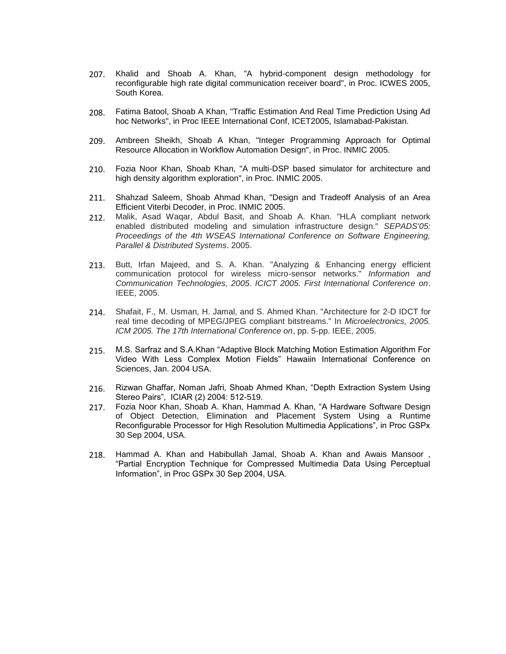- 207. Khalid and Shoab A. Khan, "A hybrid-component design methodology for reconfigurable high rate digital communication receiver board", in Proc. ICWES 2005, South Korea.
- 208. Fatima Batool, Shoab A Khan, "Traffic Estimation And Real Time Prediction Using Ad hoc Networks", in Proc IEEE International Conf, ICET2005, Islamabad-Pakistan.
- 209. Ambreen Sheikh, Shoab A Khan, "Integer Programming Approach for Optimal Resource Allocation in Workflow Automation Design", in Proc. INMIC 2005.
- 210. Fozia Noor Khan, Shoab Khan, "A multi-DSP based simulator for architecture and high density algorithm exploration", in Proc. INMIC 2005.
- 211. Shahzad Saleem, Shoab Ahmad Khan, "Design and Tradeoff Analysis of an Area Efficient Viterbi Decoder, in Proc. INMIC 2005.
- 212. Malik, Asad Waqar, Abdul Basit, and Shoab A. Khan. "HLA compliant network enabled distributed modeling and simulation infrastructure design." *SEPADS'05: Proceedings of the 4th WSEAS International Conference on Software Engineering, Parallel & Distributed Systems*. 2005.
- 213. Butt, Irfan Majeed, and S. A. Khan. "Analyzing & Enhancing energy efficient communication protocol for wireless micro-sensor networks." *Information and Communication Technologies, 2005. ICICT 2005. First International Conference on*. IEEE, 2005.
- 214. Shafait, F., M. Usman, H. Jamal, and S. Ahmed Khan. "Architecture for 2-D IDCT for real time decoding of MPEG/JPEG compliant bitstreams." In *Microelectronics, 2005. ICM 2005. The 17th International Conference on*, pp. 5-pp. IEEE, 2005.
- 215. M.S. Sarfraz and S.A.Khan "Adaptive Block Matching Motion Estimation Algorithm For Video With Less Complex Motion Fields" Hawaiin International Conference on Sciences, Jan. 2004 USA.
- 216. Rizwan Ghaffar, Noman Jafri, Shoab Ahmed Khan, "Depth Extraction System Using Stereo Pairs", ICIAR (2) 2004: 512-519.
- 217. Fozia Noor Khan, Shoab A. Khan, Hammad A. Khan, "A Hardware Software Design of Object Detection, Elimination and Placement System Using a Runtime Reconfigurable Processor for High Resolution Multimedia Applications", in Proc GSPx 30 Sep 2004, USA.
- 218. Hammad A. Khan and Habibullah Jamal, Shoab A. Khan and Awais Mansoor , "Partial Encryption Technique for Compressed Multimedia Data Using Perceptual Information", in Proc GSPx 30 Sep 2004, USA.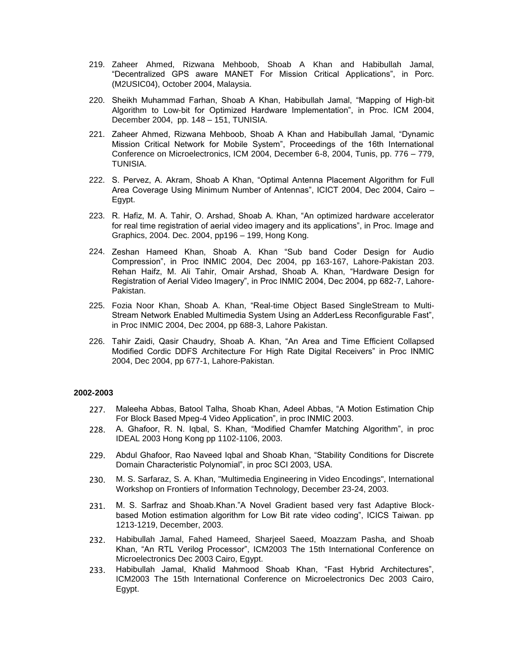- 219. Zaheer Ahmed, Rizwana Mehboob, Shoab A Khan and Habibullah Jamal, "Decentralized GPS aware MANET For Mission Critical Applications", in Porc. (M2USIC04), October 2004, Malaysia.
- 220. Sheikh Muhammad Farhan, Shoab A Khan, Habibullah Jamal, "Mapping of High-bit Algorithm to Low-bit for Optimized Hardware Implementation", in Proc. ICM 2004, December 2004, pp. 148 – 151, TUNISIA.
- 221. Zaheer Ahmed, Rizwana Mehboob, Shoab A Khan and Habibullah Jamal, "Dynamic Mission Critical Network for Mobile System", Proceedings of the 16th International Conference on Microelectronics, ICM 2004, December 6-8, 2004, Tunis, pp. 776 – 779, TUNISIA.
- 222. S. Pervez, A. Akram, Shoab A Khan, "Optimal Antenna Placement Algorithm for Full Area Coverage Using Minimum Number of Antennas", ICICT 2004, Dec 2004, Cairo – Egypt.
- 223. R. Hafiz, M. A. Tahir, O. Arshad, Shoab A. Khan, "An optimized hardware accelerator for real time registration of aerial video imagery and its applications", in Proc. Image and Graphics, 2004. Dec. 2004, pp196 – 199, Hong Kong.
- 224. Zeshan Hameed Khan, Shoab A. Khan "Sub band Coder Design for Audio Compression", in Proc INMIC 2004, Dec 2004, pp 163-167, Lahore-Pakistan 203. Rehan Haifz, M. Ali Tahir, Omair Arshad, Shoab A. Khan, "Hardware Design for Registration of Aerial Video Imagery", in Proc INMIC 2004, Dec 2004, pp 682-7, Lahore-Pakistan.
- 225. Fozia Noor Khan, Shoab A. Khan, "Real-time Object Based SingleStream to Multi-Stream Network Enabled Multimedia System Using an AdderLess Reconfigurable Fast", in Proc INMIC 2004, Dec 2004, pp 688-3, Lahore Pakistan.
- 226. Tahir Zaidi, Qasir Chaudry, Shoab A. Khan, "An Area and Time Efficient Collapsed Modified Cordic DDFS Architecture For High Rate Digital Receivers" in Proc INMIC 2004, Dec 2004, pp 677-1, Lahore-Pakistan.

#### **2002-2003**

- 227. Maleeha Abbas, Batool Talha, Shoab Khan, Adeel Abbas, "A Motion Estimation Chip For Block Based Mpeg-4 Video Application", in proc INMIC 2003.
- 228. A. Ghafoor, R. N. Iqbal, S. Khan, "Modified Chamfer Matching Algorithm", in proc IDEAL 2003 Hong Kong pp 1102-1106, 2003.
- 229. Abdul Ghafoor, Rao Naveed Iqbal and Shoab Khan, "Stability Conditions for Discrete Domain Characteristic Polynomial", in proc SCI 2003, USA.
- 230. M. S. Sarfaraz, S. A. Khan, "Multimedia Engineering in Video Encodings", International Workshop on Frontiers of Information Technology, December 23-24, 2003.
- 231. M. S. Sarfraz and Shoab.Khan."A Novel Gradient based very fast Adaptive Blockbased Motion estimation algorithm for Low Bit rate video coding", ICICS Taiwan. pp 1213-1219, December, 2003.
- 232. Habibullah Jamal, Fahed Hameed, Sharjeel Saeed, Moazzam Pasha, and Shoab Khan, "An RTL Verilog Processor", ICM2003 The 15th International Conference on Microelectronics Dec 2003 Cairo, Egypt.
- 233. Habibullah Jamal, Khalid Mahmood Shoab Khan, "Fast Hybrid Architectures", ICM2003 The 15th International Conference on Microelectronics Dec 2003 Cairo, Egypt.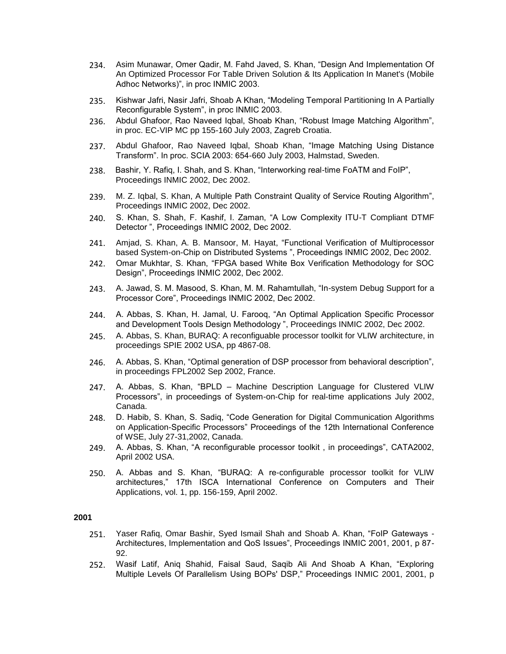- 234. Asim Munawar, Omer Qadir, M. Fahd Javed, S. Khan, "Design And Implementation Of An Optimized Processor For Table Driven Solution & Its Application In Manet's (Mobile Adhoc Networks)", in proc INMIC 2003.
- 235. Kishwar Jafri, Nasir Jafri, Shoab A Khan, "Modeling Temporal Partitioning In A Partially Reconfigurable System", in proc INMIC 2003.
- 236. Abdul Ghafoor, Rao Naveed Iqbal, Shoab Khan, "Robust Image Matching Algorithm", in proc. EC-VIP MC pp 155-160 July 2003, Zagreb Croatia.
- 237. Abdul Ghafoor, Rao Naveed Iqbal, Shoab Khan, "Image Matching Using Distance Transform". In proc. SCIA 2003: 654-660 July 2003, Halmstad, Sweden.
- 238. Bashir, Y. Rafiq, I. Shah, and S. Khan, "Interworking real-time FoATM and FoIP", Proceedings INMIC 2002, Dec 2002.
- 239. M. Z. Iqbal, S. Khan, A Multiple Path Constraint Quality of Service Routing Algorithm", Proceedings INMIC 2002, Dec 2002.
- 240. S. Khan, S. Shah, F. Kashif, I. Zaman, "A Low Complexity ITU-T Compliant DTMF Detector ", Proceedings INMIC 2002, Dec 2002.
- 241. Amjad, S. Khan, A. B. Mansoor, M. Hayat, "Functional Verification of Multiprocessor based System-on-Chip on Distributed Systems ", Proceedings INMIC 2002, Dec 2002.
- 242. Omar Mukhtar, S. Khan, "FPGA based White Box Verification Methodology for SOC Design", Proceedings INMIC 2002, Dec 2002.
- 243. A. Jawad, S. M. Masood, S. Khan, M. M. Rahamtullah, "In-system Debug Support for a Processor Core", Proceedings INMIC 2002, Dec 2002.
- 244. A. Abbas, S. Khan, H. Jamal, U. Farooq, "An Optimal Application Specific Processor and Development Tools Design Methodology ", Proceedings INMIC 2002, Dec 2002.
- 245. A. Abbas, S. Khan, BURAQ: A reconfiguable processor toolkit for VLIW architecture, in proceedings SPIE 2002 USA, pp 4867-08.
- 246. A. Abbas, S. Khan, "Optimal generation of DSP processor from behavioral description", in proceedings FPL2002 Sep 2002, France.
- 247. A. Abbas, S. Khan, "BPLD Machine Description Language for Clustered VLIW Processors", in proceedings of System-on-Chip for real-time applications July 2002, Canada.
- 248. D. Habib, S. Khan, S. Sadiq, "Code Generation for Digital Communication Algorithms on Application-Specific Processors" Proceedings of the 12th International Conference of WSE, July 27-31,2002, Canada.
- 249. A. Abbas, S. Khan, "A reconfigurable processor toolkit , in proceedings", CATA2002, April 2002 USA.
- 250. A. Abbas and S. Khan, "BURAQ: A re-configurable processor toolkit for VLIW architectures," 17th ISCA International Conference on Computers and Their Applications, vol. 1, pp. 156-159, April 2002.

- 251. Yaser Rafiq, Omar Bashir, Syed Ismail Shah and Shoab A. Khan, "FoIP Gateways Architectures, Implementation and QoS Issues", Proceedings INMIC 2001, 2001, p 87- 92.
- 252. Wasif Latif, Aniq Shahid, Faisal Saud, Saqib Ali And Shoab A Khan, "Exploring Multiple Levels Of Parallelism Using BOPs' DSP," Proceedings INMIC 2001, 2001, p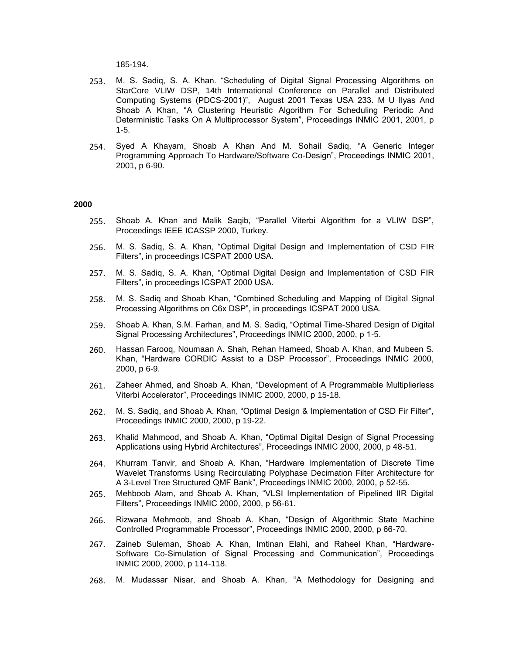185-194.

- 253. M. S. Sadiq, S. A. Khan. "Scheduling of Digital Signal Processing Algorithms on StarCore VLIW DSP, 14th International Conference on Parallel and Distributed Computing Systems (PDCS-2001)", August 2001 Texas USA 233. M U Ilyas And Shoab A Khan, "A Clustering Heuristic Algorithm For Scheduling Periodic And Deterministic Tasks On A Multiprocessor System", Proceedings INMIC 2001, 2001, p 1-5.
- 254. Syed A Khayam, Shoab A Khan And M. Sohail Sadiq, "A Generic Integer Programming Approach To Hardware/Software Co-Design", Proceedings INMIC 2001, 2001, p 6-90.

- 255. Shoab A. Khan and Malik Saqib, "Parallel Viterbi Algorithm for a VLIW DSP", Proceedings IEEE ICASSP 2000, Turkey.
- 256. M. S. Sadiq, S. A. Khan, "Optimal Digital Design and Implementation of CSD FIR Filters", in proceedings ICSPAT 2000 USA.
- 257. M. S. Sadiq, S. A. Khan, "Optimal Digital Design and Implementation of CSD FIR Filters", in proceedings ICSPAT 2000 USA.
- 258. M. S. Sadiq and Shoab Khan, "Combined Scheduling and Mapping of Digital Signal Processing Algorithms on C6x DSP", in proceedings ICSPAT 2000 USA.
- 259. Shoab A. Khan, S.M. Farhan, and M. S. Sadiq, "Optimal Time-Shared Design of Digital Signal Processing Architectures", Proceedings INMIC 2000, 2000, p 1-5.
- 260. Hassan Farooq, Noumaan A. Shah, Rehan Hameed, Shoab A. Khan, and Mubeen S. Khan, "Hardware CORDIC Assist to a DSP Processor", Proceedings INMIC 2000, 2000, p 6-9.
- 261. Zaheer Ahmed, and Shoab A. Khan, "Development of A Programmable Multiplierless Viterbi Accelerator", Proceedings INMIC 2000, 2000, p 15-18.
- 262. M. S. Sadiq, and Shoab A. Khan, "Optimal Design & Implementation of CSD Fir Filter", Proceedings INMIC 2000, 2000, p 19-22.
- 263. Khalid Mahmood, and Shoab A. Khan, "Optimal Digital Design of Signal Processing Applications using Hybrid Architectures", Proceedings INMIC 2000, 2000, p 48-51.
- 264. Khurram Tanvir, and Shoab A. Khan, "Hardware Implementation of Discrete Time Wavelet Transforms Using Recirculating Polyphase Decimation Filter Architecture for A 3-Level Tree Structured QMF Bank", Proceedings INMIC 2000, 2000, p 52-55.
- 265. Mehboob Alam, and Shoab A. Khan, "VLSI Implementation of Pipelined IIR Digital Filters", Proceedings INMIC 2000, 2000, p 56-61.
- 266. Rizwana Mehmoob, and Shoab A. Khan, "Design of Algorithmic State Machine Controlled Programmable Processor", Proceedings INMIC 2000, 2000, p 66-70.
- 267. Zaineb Suleman, Shoab A. Khan, Imtinan Elahi, and Raheel Khan, "Hardware-Software Co-Simulation of Signal Processing and Communication", Proceedings INMIC 2000, 2000, p 114-118.
- 268. M. Mudassar Nisar, and Shoab A. Khan, "A Methodology for Designing and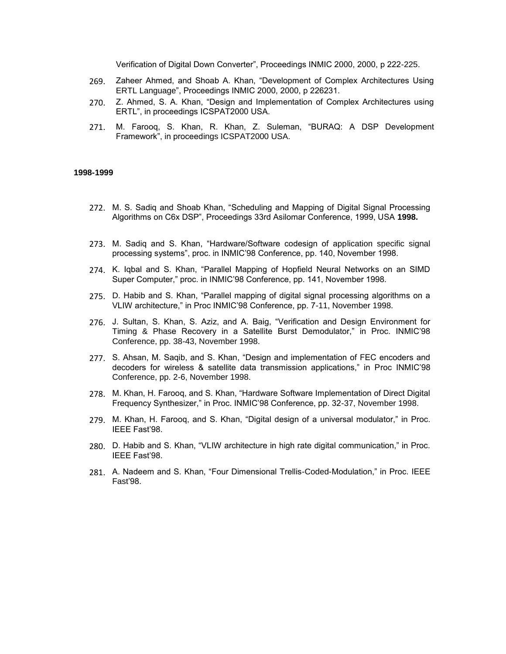Verification of Digital Down Converter", Proceedings INMIC 2000, 2000, p 222-225.

- 269. Zaheer Ahmed, and Shoab A. Khan, "Development of Complex Architectures Using ERTL Language", Proceedings INMIC 2000, 2000, p 226231.
- 270. Z. Ahmed, S. A. Khan, "Design and Implementation of Complex Architectures using ERTL", in proceedings ICSPAT2000 USA.
- 271. M. Farooq, S. Khan, R. Khan, Z. Suleman, "BURAQ: A DSP Development Framework", in proceedings ICSPAT2000 USA.

#### **1998-1999**

- 272. M. S. Sadiq and Shoab Khan, "Scheduling and Mapping of Digital Signal Processing Algorithms on C6x DSP", Proceedings 33rd Asilomar Conference, 1999, USA **1998.**
- 273. M. Sadiq and S. Khan, "Hardware/Software codesign of application specific signal processing systems", proc. in INMIC'98 Conference, pp. 140, November 1998.
- 274. K. Iqbal and S. Khan, "Parallel Mapping of Hopfield Neural Networks on an SIMD Super Computer," proc. in INMIC'98 Conference, pp. 141, November 1998.
- 275. D. Habib and S. Khan, "Parallel mapping of digital signal processing algorithms on a VLIW architecture," in Proc INMIC'98 Conference, pp. 7-11, November 1998.
- 276. J. Sultan, S. Khan, S. Aziz, and A. Baig, "Verification and Design Environment for Timing & Phase Recovery in a Satellite Burst Demodulator," in Proc. INMIC'98 Conference, pp. 38-43, November 1998.
- 277. S. Ahsan, M. Saqib, and S. Khan, "Design and implementation of FEC encoders and decoders for wireless & satellite data transmission applications," in Proc INMIC'98 Conference, pp. 2-6, November 1998.
- 278. M. Khan, H. Farooq, and S. Khan, "Hardware Software Implementation of Direct Digital Frequency Synthesizer," in Proc. INMIC'98 Conference, pp. 32-37, November 1998.
- 279. M. Khan, H. Farooq, and S. Khan, "Digital design of a universal modulator," in Proc. IEEE Fast'98.
- 280. D. Habib and S. Khan, "VLIW architecture in high rate digital communication," in Proc. IEEE Fast'98.
- 281. A. Nadeem and S. Khan, "Four Dimensional Trellis-Coded-Modulation," in Proc. IEEE Fast'98.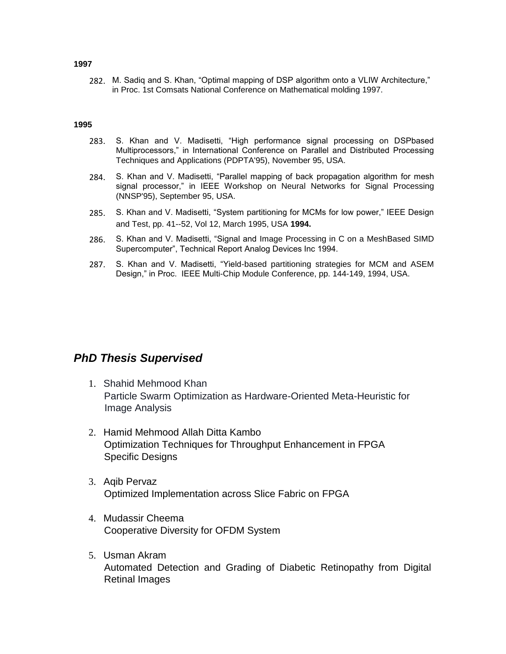# **1997**

282. M. Sadiq and S. Khan, "Optimal mapping of DSP algorithm onto a VLIW Architecture," in Proc. 1st Comsats National Conference on Mathematical molding 1997.

#### **1995**

- 283. S. Khan and V. Madisetti, "High performance signal processing on DSPbased Multiprocessors," in International Conference on Parallel and Distributed Processing Techniques and Applications (PDPTA'95), November 95, USA.
- 284. S. Khan and V. Madisetti, "Parallel mapping of back propagation algorithm for mesh signal processor," in IEEE Workshop on Neural Networks for Signal Processing (NNSP'95), September 95, USA.
- 285. S. Khan and V. Madisetti, "System partitioning for MCMs for low power," IEEE Design and Test, pp. 41--52, Vol 12, March 1995, USA **1994.**
- 286. S. Khan and V. Madisetti, "Signal and Image Processing in C on a MeshBased SIMD Supercomputer", Technical Report Analog Devices Inc 1994.
- 287. S. Khan and V. Madisetti, "Yield-based partitioning strategies for MCM and ASEM Design," in Proc. IEEE Multi-Chip Module Conference, pp. 144-149, 1994, USA.

# *PhD Thesis Supervised*

- 1. Shahid Mehmood Khan Particle Swarm Optimization as Hardware-Oriented Meta-Heuristic for Image Analysis
- 2. Hamid Mehmood Allah Ditta Kambo Optimization Techniques for Throughput Enhancement in FPGA Specific Designs
- 3. Aqib Pervaz Optimized Implementation across Slice Fabric on FPGA
- 4. Mudassir Cheema Cooperative Diversity for OFDM System
- 5. Usman Akram Automated Detection and Grading of Diabetic Retinopathy from Digital Retinal Images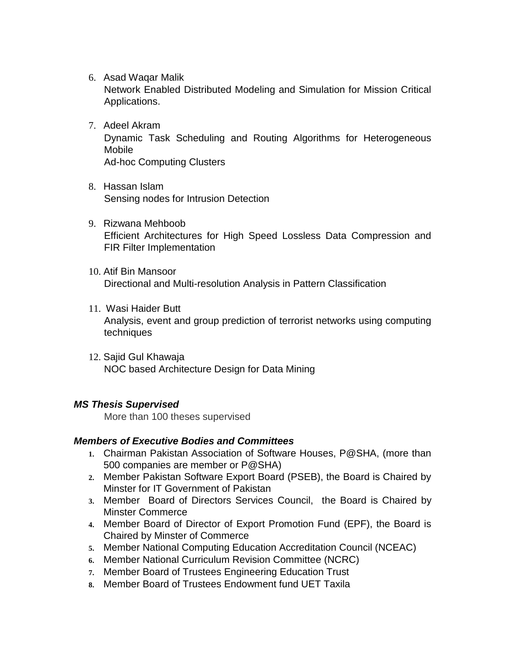6. Asad Waqar Malik

Network Enabled Distributed Modeling and Simulation for Mission Critical Applications.

- 7. Adeel Akram Dynamic Task Scheduling and Routing Algorithms for Heterogeneous Mobile Ad-hoc Computing Clusters
- 8. Hassan Islam Sensing nodes for Intrusion Detection
- 9. Rizwana Mehboob Efficient Architectures for High Speed Lossless Data Compression and FIR Filter Implementation
- 10. Atif Bin Mansoor Directional and Multi-resolution Analysis in Pattern Classification
- 11. Wasi Haider Butt Analysis, event and group prediction of terrorist networks using computing techniques
- 12. Sajid Gul Khawaja NOC based Architecture Design for Data Mining

# *MS Thesis Supervised*

More than 100 theses supervised

# *Members of Executive Bodies and Committees*

- **1.** Chairman Pakistan Association of Software Houses, P@SHA, (more than 500 companies are member or P@SHA)
- **2.** Member Pakistan Software Export Board (PSEB), the Board is Chaired by Minster for IT Government of Pakistan
- **3.** Member Board of Directors Services Council, the Board is Chaired by Minster Commerce
- **4.** Member Board of Director of Export Promotion Fund (EPF), the Board is Chaired by Minster of Commerce
- **5.** Member National Computing Education Accreditation Council (NCEAC)
- **6.** Member National Curriculum Revision Committee (NCRC)
- **7.** Member Board of Trustees Engineering Education Trust
- **8.** Member Board of Trustees Endowment fund UET Taxila